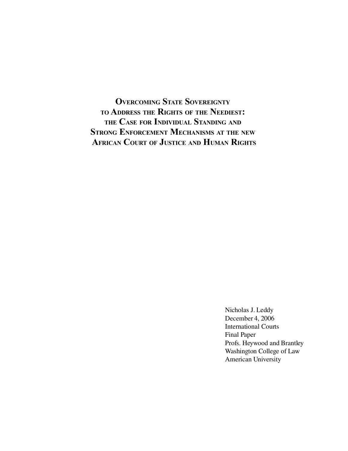**OVERCOMING STATE SOVEREIGNTY TO ADDRESS THE RIGHTS OF THE NEEDIEST: THE CASE FOR INDIVIDUAL STANDING AND STRONG ENFORCEMENT MECHANISMS AT THE NEW AFRICAN COURT OF JUSTICE AND HUMAN RIGHTS**

> Nicholas J. Leddy December 4, 2006 International Courts Final Paper Profs. Heywood and Brantley Washington College of Law American University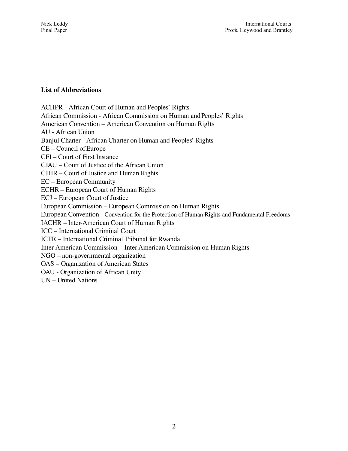## List of Abbreviations

ACHPR - African Court of Human and Peoples' Rights African Commission African Commission on Human and Peoples' Rights American Convention – American Convention on Human Rights AU African Union Banjul Charter African Charter on Human and Peoples' Rights CE – Council of Europe CFI – Court of First Instance CJAU – Court of Justice of the African Union CJHR – Court of Justice and Human Rights EC – European Community ECHR – European Court of Human Rights ECJ – European Court of Justice European Commission – European Commission on Human Rights European Convention Convention for the Protection of Human Rights and Fundamental Freedoms IACHR – Inter-American Court of Human Rights ICC – International Criminal Court ICTR – International Criminal Tribunal for Rwanda InterAmerican Commission – InterAmerican Commission on Human Rights NGO – non-governmental organization OAS – Organization of American States OAU - Organization of African Unity UN – United Nations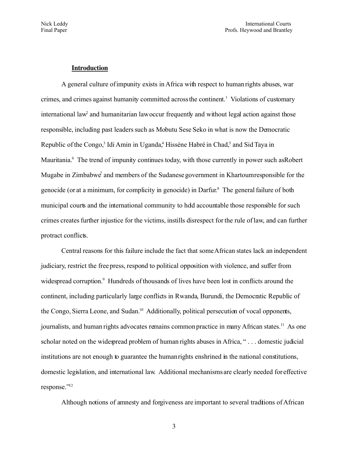### **Introduction**

A general culture of impunity exists in Africa with respect to human rights abuses, war crimes, and crimes against humanity committed across the continent.<sup>[1](#page-36-0)</sup> Violations of customary international law<sup>[2](#page-36-1)</sup> and humanitarian law occur frequently and without legal action against those responsible, including past leaders such as Mobutu Sese Seko in what is now the Democratic Republic of the Congo,<sup>[3](#page-36-2)</sup> Idi Amin in Uganda[,](#page-36-3)<sup>4</sup> Hissène Habré in Chad,<sup>[5](#page-36-4)</sup> and Sid Taya in Mauritania.<sup>[6](#page-36-5)</sup> The trend of impunity continues today, with those currently in power such as Robert Mugab[e](#page-36-6) in Zimbabwe<sup>7</sup> and members of the Sudanese government in Khartoum responsible for the genocide (or at a minimum, for complicity in genocide) in Darfur. [8](#page-36-7) The general failure of both municipal courts and the international community to hdd accountable those responsible for such crimes creates further injustice for the victims, instills disrespect for the rule of law, and can further protract conflicts.

Central reasons for this failure include the fact that some African states lack an independent judiciary, restrict the free press, respond to political opposition with violence, and suffer from widespread corruption.<sup>[9](#page-36-8)</sup> Hundreds of thousands of lives have been lost in conflicts around the continent, including particularly large conflicts in Rwanda, Burundi, the Democratic Republic of the Congo, Sierra Leone, and Sudan.<sup>[10](#page-36-9)</sup> Additionally, political persecution of vocal opponents, journalists, and human rights advocates remains common practice in many African states.<sup>[11](#page-36-10)</sup> As one scholar noted on the widespread problem of human rights abuses in Africa, " . . . domestic judicial institutions are not enough to guarantee the human rights enshrined in the national constitutions, domestic legislation, and international law. Additional mechanisms are clearly needed for effective response."[12](#page-36-11)

Although notions of amnesty and forgiveness are important to several traditions of African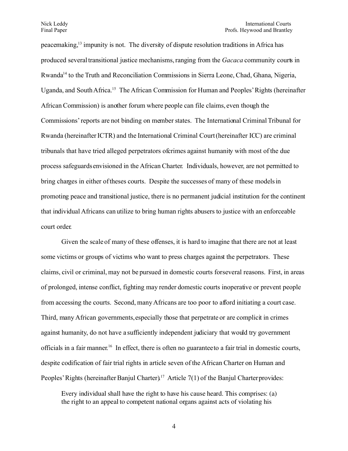peacemaking,[13](#page-36-12) impunity is not. The diversity of dispute resolution traditions in Africa has produced several transitional justice mechanisms, ranging from the *Gacaca* community courts in Rwanda<sup>[14](#page-37-0)</sup> to the Truth and Reconciliation Commissions in Sierra Leone, Chad, Ghana, Nigeria, Uganda, and South Africa. [15](#page-37-1) The African Commission for Human and Peoples' Rights (hereinafter African Commission) is another forum where people can file claims, even though the Commissions' reports are not binding on member states. The International Criminal Tribunal for Rwanda (hereinafter ICTR) and the International Criminal Court (hereinafter ICC) are criminal tribunals that have tried alleged perpetrators of crimes against humanity with most of the due process safeguards envisioned in the African Charter. Individuals, however, are not permitted to bring charges in either of theses courts. Despite the successes of many of these models in promoting peace and transitional justice, there is no permanent judicial institution for the continent that individual Africans can utilize to bring human rights abusers to justice with an enforceable court order.

Given the scale of many of these offenses, it is hard to imagine that there are not at least some victims or groups of victims who want to press charges against the perpetrators. These claims, civil or criminal, may not be pursued in domestic courts for several reasons. First, in areas of prolonged, intense conflict, fighting may render domestic courts inoperative or prevent people from accessing the courts. Second, many Africans are too poor to afford initiating a court case. Third, many African governments, especially those that perpetrate or are complicit in crimes against humanity, do not have a sufficiently independent judiciary that would try government officials in a fair manner.<sup>[16](#page-37-2)</sup> In effect, there is often no guarantee to a fair trial in domestic courts, despite codification of fair trial rights in article seven of the African Charter on Human and Peoples' Rights (hereinafter Banjul Charter).<sup>[17](#page-37-3)</sup> Article  $7(1)$  of the Banjul Charter provides:

Every individual shall have the right to have his cause heard. This comprises: (a) the right to an appeal to competent national organs against acts of violating his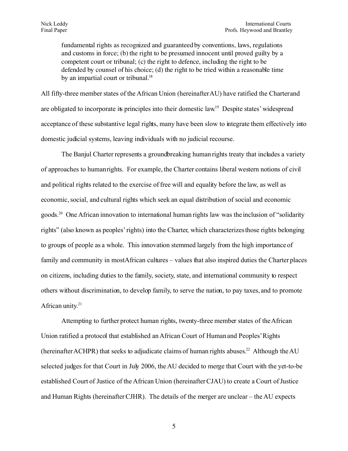fundamental rights as recognized and guaranteed by conventions, laws, regulations and customs in force; (b) the right to be presumed innocent until proved guilty by a competent court or tribunal; (c) the right to defence, including the right to be defended by counsel of his choice; (d) the right to be tried within a reasonable time by an impartial court or tribunal.<sup>[18](#page-37-4)</sup>

All fifty-three member states of the African Union (hereinafterAU) have ratified the Charter and are obligated to incorporate its principles into their domestic law<sup>[19](#page-37-5)</sup> Despite states' widespread acceptance of these substantive legal rights, many have been slow to integrate them effectively into domestic judicial systems, leaving individuals with no judicial recourse.

The Banjul Charter represents a groundbreaking human rights treaty that includes a variety of approaches to human rights. For example, the Charter contains liberal western notions of civil and political rights related to the exercise of free will and equality before the law, as well as economic, social, and cultural rights which seek an equal distribution of social and economic goods.<sup>[20](#page-37-6)</sup> One African innovation to international human rights law was the inclusion of "solidarity rights" (also known as peoples'rights) into the Charter, which characterizes those rights belonging to groups of people as a whole. This innovation stemmed largely from the high importance of family and community in mostAfrican cultures – values that also inspired duties the Charter places on citizens, including duties to the family, society, state, and international community to respect others without discrimination, to develop family, to serve the nation, to pay taxes, and to promote African unity.<sup>[21](#page-37-7)</sup>

Attempting to further protect human rights, twenty-three member states of the African Union ratified a protocol that established an African Court of Human and Peoples'Rights (hereinafter ACHPR) that seeks to adjudicate claims of human rights abuses.<sup>[22](#page-37-8)</sup> Although the AU selected judges for that Court in July 2006, the AU decided to merge that Court with the yet-to-be established Court of Justice of the African Union (hereinafter CJAU) to create a Court of Justice and Human Rights (hereinafter CJHR). The details of the merger are unclear – the AU expects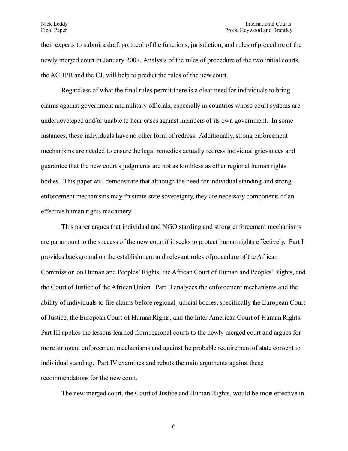#### Nick Leddy International Courts Final Paper **Profs.** Heywood and Brantley

their experts to submit a draft protocol of the functions, jurisdiction, and rules of procedure of the newly merged court in January 2007. Analysis of the rules of procedure of the two initial courts, the ACHPR and the CJ, will help to predict the rules of the new court.

Regardless of what the final rules permit, there is a clear need for individuals to bring claims against government and military officials, especially in countries whose court systems are underdeveloped and/or unable to hear cases against members of its own government. In some instances, these individuals have no other form of redress. Additionally, strong enforcement mechanisms are needed to ensure the legal remedies actually redress individual grievances and guarantee that the new court's judgments are not as toothless as other regional human rights bodies. This paper will demonstrate that although the need for individual standing and strong enforcement mechanisms may frustrate state sovereignty, they are necessary components of an effective human rights machinery.

This paper argues that individual and NGO standing and strong enforcement mechanisms are paramount to the success of the new court if it seeks to protect human rights effectively. Part I provides background on the establishment and relevant rules of procedure of the African Commission on Human and Peoples' Rights, the African Court of Human and Peoples' Rights, and the Court of Justice of the African Union. Part II analyzes the enforcement mechanisms and the ability of individuals to file claims before regional judicial bodies, specifically the European Court of Justice, the European Court of Human Rights, and the Inter-American Court of Human Rights. Part III applies the lessons learned from regional courts to the newly merged court and argues for more stringent enforcement mechanisms and against the probable requirement of state consent to individual standing. Part IV examines and rebuts the main arguments against these recommendations for the new court.

The new merged court, the Court of Justice and Human Rights, would be more effective in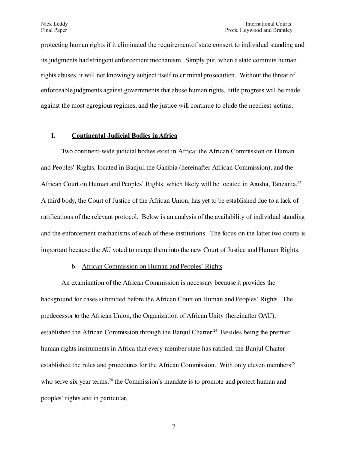protecting human rights if it eliminated the requirement of state consent to individual standing and its judgments had stringent enforcement mechanism. Simply put, when a state commits human rights abuses, it will not knowingly subject itself to criminal prosecution. Without the threat of enforceable judgments against governments that abuse human rights, little progress will be made against the most egregious regimes, and the justice will continue to elude the neediest victims.

## **I. Continental Judicial Bodies in Africa**

Two continent-wide judicial bodies exist in Africa: the African Commission on Human and Peoples' Rights, located in Banjul, the Gambia (hereinafter African Commission), and the African Court on Human and Peoples' Rights, which likely will be located in Arusha, Tanzania.<sup>[23](#page-37-9)</sup> A third body, the Court of Justice of the African Union, has yet to be established due to a lack of ratifications of the relevant protocol. Below is an analysis of the availability of individual standing and the enforcement mechanisms of each of these institutions. The focus on the latter two courts is important because the AU voted to merge them into the new Court of Justice and Human Rights.

### b. African Commission on Human and Peoples' Rights

An examination of the African Commission is necessary because it provides the background for cases submitted before the African Court on Human and Peoples' Rights. The predecessor to the African Union, the Organization of African Unity (hereinafter OAU), established the African Commission through the Banjul Charter.<sup>[24](#page-38-0)</sup> Besides being the premier human rights instruments in Africa that every member state has ratified, the Banjul Charter established the rules and procedures for the African Commission. With only eleven members<sup>[25](#page-38-1)</sup> who serve six year terms,<sup>[26](#page-38-2)</sup> the Commission's mandate is to promote and protect human and peoples' rights and in particular,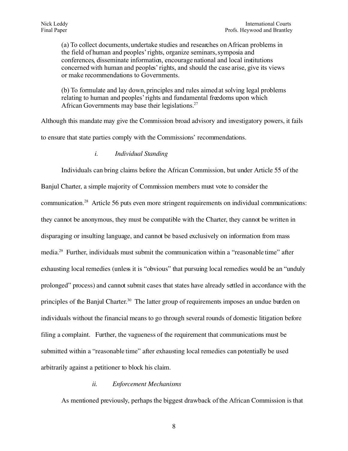(a) To collect documents, undertake studies and researches on African problems in the field of human and peoples' rights, organize seminars, symposia and conferences, disseminate information, encourage national and local institutions concerned with human and peoples' rights, and should the case arise, give its views or make recommendations to Governments.

(b) To formulate and lay down, principles and rules aimed at solving legal problems relating to human and peoples'rights and fundamental freedoms upon which African Governments may base their legislations.<sup>[27](#page-38-3)</sup>

Although this mandate may give the Commission broad advisory and investigatory powers, it fails to ensure that state parties comply with the Commissions' recommendations.

## *i. Individual Standing*

Individuals can bring claims before the African Commission, but under Article 55 of the Banjul Charter, a simple majority of Commission members must vote to consider the communication.[28](#page-38-4) Article 56 puts even more stringent requirements on individual communications: they cannot be anonymous, they must be compatible with the Charter, they cannot be written in disparaging or insulting language, and cannot be based exclusively on information from mass media.<sup>[29](#page-38-5)</sup> Further, individuals must submit the communication within a "reasonable time" after exhausting local remedies (unless it is "obvious" that pursuing local remedies would be an "unduly prolonged" process) and cannot submit cases that states have already settled in accordance with the principles of the Banjul Charter.<sup>[30](#page-38-6)</sup> The latter group of requirements imposes an undue burden on individuals without the financial means to go through several rounds of domestic litigation before filing a complaint. Further, the vagueness of the requirement that communications must be submitted within a "reasonable time" after exhausting local remedies can potentially be used arbitrarily against a petitioner to block his claim.

### *ii. Enforcement Mechanisms*

As mentioned previously, perhaps the biggest drawback of the African Commission is that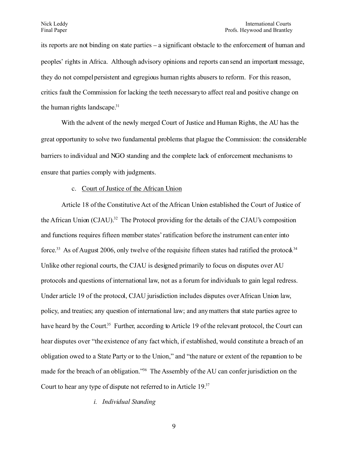its reports are not binding on state parties – a significant obstacle to the enforcement of human and peoples' rights in Africa. Although advisory opinions and reports can send an important message, they do not compel persistent and egregious human rights abusers to reform. For this reason, critics fault the Commission for lacking the teeth necessary to affect real and positive change on the human rights landscape.<sup>[31](#page-38-7)</sup>

With the advent of the newly merged Court of Justice and Human Rights, the AU has the great opportunity to solve two fundamental problems that plague the Commission: the considerable barriers to individual and NGO standing and the complete lack of enforcement mechanisms to ensure that parties comply with judgments.

## c. Court of Justice of the African Union

Article 18 of the Constitutive Act of the African Union established the Court of Justice of the African Union (CJAU).<sup>[32](#page-38-8)</sup> The Protocol providing for the details of the CJAU's composition and functions requires fifteen member states'ratification before the instrument can enter into force.<sup>[33](#page-38-9)</sup> As of August 2006, only twelve of the requisite fifteen states had ratified the protocd.<sup>[34](#page-38-10)</sup> Unlike other regional courts, the CJAU is designed primarily to focus on disputes over AU protocols and questions of international law, not as a forum for individuals to gain legal redress. Under article 19 of the protocol, CJAU jurisdiction includes disputes over African Union law, policy, and treaties; any question of international law; and any matters that state parties agree to have heard by the Court.<sup>[35](#page-38-11)</sup> Further, according to Article 19 of the relevant protocol, the Court can hear disputes over "the existence of any fact which, if established, would constitute a breach of an obligation owed to a State Party or to the Union," and "the nature or extent of the reparation to be made for the breach of an obligation."<sup>[36](#page-38-12)</sup> The Assembly of the AU can confer jurisdiction on the Court to hear any type of dispute not referred to in Article 19.[37](#page-38-13)

### *i. Individual Standing*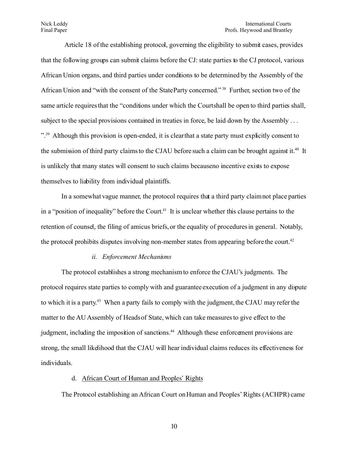#### Nick Leddy International Courts Final Paper Profs. Heywood and Brantley

Article 18 of the establishing protocol, governing the eligibility to submit cases, provides that the following groups can submit claims before the CJ: state parties to the CJ protocol, various African Union organs, and third parties under conditions to be determined by the Assembly of the African Union and "with the consent of the State Party concerned." [38](#page-38-14) Further, section two of the same article requires that the "conditions under which the Court shall be open to third parties shall, subject to the special provisions contained in treaties in force, be laid down by the Assembly ... ".<sup>[39](#page-38-15)</sup> Although this provision is open-ended, it is clear that a state party must explicitly consent to the submission of third party claims to the CJAU before such a claim can be brought against it.<sup>[40](#page-38-16)</sup> It is unlikely that many states will consent to such claims because no incentive exists to expose themselves to liability from individual plaintiffs.

In a somewhat vague manner, the protocol requires that a third party claim not place parties in a "position of inequality" before the Court.<sup>[41](#page-38-17)</sup> It is unclear whether this clause pertains to the retention of counsel, the filing of amicus briefs, or the equality of procedures in general. Notably, the protocol prohibits disputes involving non-member states from appearing before the court.<sup>[42](#page-38-18)</sup>

## *ii. Enforcement Mechanisms*

The protocol establishes a strong mechanism to enforce the CJAU's judgments. The protocol requires state parties to comply with and guarantee execution of a judgment in any dispute to which it is a party. [43](#page-38-19) When a party fails to comply with the judgment, the CJAU may refer the matter to the AU Assembly of Heads of State, which can take measures to give effect to the judgment, including the imposition of sanctions.<sup>[44](#page-39-0)</sup> Although these enforcement provisions are strong, the small likelihood that the CJAU will hear individual claims reduces its effectiveness for individuals.

### d. African Court of Human and Peoples' Rights

The Protocol establishing an African Court on Human and Peoples' Rights (ACHPR) came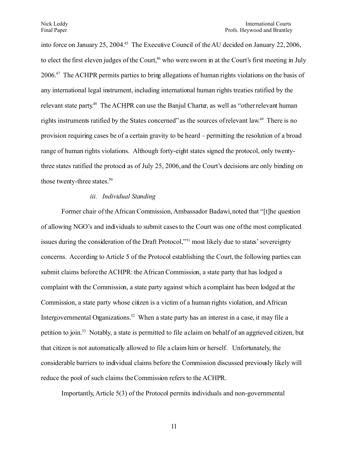into force on January 25, 2004.<sup>[45](#page-39-1)</sup> The Executive Council of the AU decided on January 22, 2006. to elect the first eleven judges of the Court,<sup>[46](#page-39-2)</sup> who were sworn in at the Court's first meeting in July 2006.[47](#page-39-3) The ACHPR permits parties to bring allegations of human rights violations on the basis of any international legal instrument, including international human rights treaties ratified by the relevant state party.<sup>[48](#page-39-4)</sup> The ACHPR can use the Banjul Charter, as well as "other relevant human rights instruments ratified by the States concerned" as the sources of relevant law.<sup>[49](#page-39-5)</sup> There is no provision requiring cases be of a certain gravity to be heard – permitting the resolution of a broad range of human rights violations. Although forty-eight states signed the protocol, only twentythree states ratified the protocol as of July 25, 2006, and the Court's decisions are only binding on those twenty-three states.<sup>[50](#page-39-6)</sup>

### *iii. Individual Standing*

Former chair of the African Commission, Ambassador Badawi, noted that "[t]he question of allowing NGO's and individuals to submit cases to the Court was one of the most complicated issues during the consideration of the Draft Protocol,"<sup>[51](#page-39-7)</sup> most likely due to states' sovereignty concerns. According to Article 5 of the Protocol establishing the Court, the following parties can submit claims before the ACHPR: the African Commission, a state party that has lodged a complaint with the Commission, a state party against which a complaint has been lodged at the Commission, a state party whose citizen is a victim of a human rights violation, and African Intergovernmental Organizations.<sup>[52](#page-39-8)</sup> When a state party has an interest in a case, it may file a petition to join.[53](#page-39-9) Notably, a state is permitted to file a claim on behalf of an aggrieved citizen, but that citizen is not automatically allowed to file a claim him or herself. Unfortunately, the considerable barriers to individual claims before the Commission discussed previously likely will reduce the pool of such claims the Commission refers to the ACHPR.

Importantly, Article 5(3) of the Protocol permits individuals and non-governmental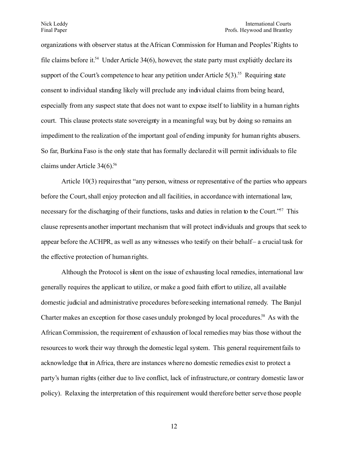organizations with observer status at the African Commission for Human and Peoples'Rights to file claims before it.<sup>[54](#page-39-10)</sup> Under Article 34(6), however, the state party must explicitly declare its support of the Court's competence to hear any petition under Article  $5(3)$ <sup>[55](#page-39-11)</sup> Requiring state consent to individual standing likely will preclude any individual claims from being heard, especially from any suspect state that does not want to expose itself to liability in a human rights court. This clause protects state sovereignty in a meaningful way, but by doing so remains an impediment to the realization of the important goal of ending impunity for human rights abusers. So far, Burkina Faso is the only state that has formally declared it will permit individuals to file claims under Article  $34(6)$ .<sup>[56](#page-39-12)</sup>

Article 10(3) requires that "any person, witness or representative of the parties who appears before the Court, shall enjoy protection and all facilities, in accordance with international law, necessary for the discharging of their functions, tasks and duties in relation to the Court.<sup>"[57](#page-39-13)</sup> This clause represents another important mechanism that will protect individuals and groups that seek to appear before the ACHPR, as well as any witnesses who testify on their behalf- a crucial task for the effective protection of human rights.

Although the Protocol is silent on the issue of exhausting local remedies, international law generally requires the applicant to utilize, or make a good faith effort to utilize, all available domestic judicial and administrative procedures before seeking international remedy. The Banjul Charter makes an exception for those cases unduly prolonged by local procedures.<sup>[58](#page-39-14)</sup> As with the African Commission, the requirement of exhaustion of local remedies may bias those without the resources to work their way through the domestic legal system. This general requirement fails to acknowledge that in Africa, there are instances where no domestic remedies exist to protect a party's human rights (either due to live conflict, lack of infrastructure, or contrary domestic law or policy). Relaxing the interpretation of this requirement would therefore better serve those people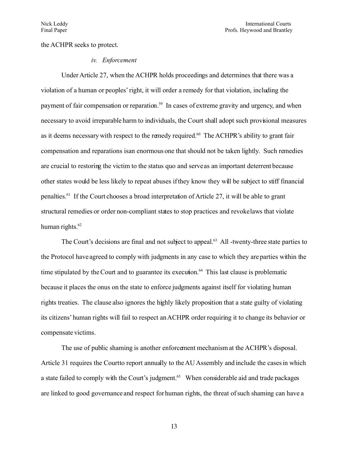the ACHPR seeks to protect.

### *iv. Enforcement*

Under Article 27, when the ACHPR holds proceedings and determines that there was a violation of a human or peoples'right, it will order a remedy for that violation, including the payment of fair compensation or reparation.<sup>[59](#page-39-15)</sup> In cases of extreme gravity and urgency, and when necessary to avoid irreparable harm to individuals, the Court shall adopt such provisional measures as it deems necessary with respect to the remedy required.<sup>[60](#page-39-16)</sup> The ACHPR's ability to grant fair compensation and reparations isan enormous one that should not be taken lightly. Such remedies are crucial to restoring the victim to the status quo and serve as an important deterrent because other states would be less likely to repeat abuses if they know they will be subject to stiff financial penalties.<sup>[61](#page-39-17)</sup> If the Court chooses a broad interpretation of Article 27, it will be able to grant structural remedies or order non-compliant states to stop practices and revoke laws that violate human rights. $62$ 

The Court's decisions are final and not subject to appeal.<sup>[63](#page-40-1)</sup> All -twenty-three state parties to the Protocol have agreed to comply with judgments in any case to which they are parties within the time stipulated by the Court and to guarantee its execution.<sup>[64](#page-40-2)</sup> This last clause is problematic because it places the onus on the state to enforce judgments against itself for violating human rights treaties. The clause also ignores the highly likely proposition that a state guilty of violating its citizens' human rights will fail to respect an ACHPR order requiring it to change its behavior or compensate victims.

The use of public shaming is another enforcement mechanism at the ACHPR's disposal. Article 31 requires the Court to report annually to the AU Assembly and include the cases in which a state failed to comply with the Court's judgment.<sup>[65](#page-40-3)</sup> When considerable aid and trade packages are linked to good governance and respect for human rights, the threat of such shaming can have a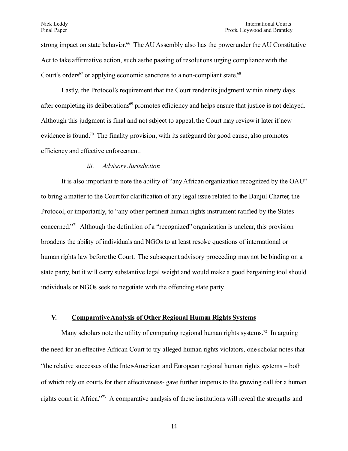strong impact on state behavior.<sup>[66](#page-40-4)</sup> The AU Assembly also has the power under the AU Constitutive Act to take affirmative action, such as the passing of resolutions urging compliance with the Court's orders<sup>[67](#page-40-5)</sup> or applying economic sanctions to a non-compliant state.<sup>[68](#page-40-6)</sup>

Lastly, the Protocol's requirement that the Court render its judgment within ninety days after completing its deliberations<sup>[69](#page-40-7)</sup> promotes efficiency and helps ensure that justice is not delayed. Although this judgment is final and not subject to appeal, the Court may review it later if new evidence is found.<sup>[70](#page-40-8)</sup> The finality provision, with its safeguard for good cause, also promotes efficiency and effective enforcement.

### *iii. Advisory Jurisdiction*

It is also important to note the ability of "any African organization recognized by the OAU" to bring a matter to the Court for clarification of any legal issue related to the Banjul Charter, the Protocol, or importantly, to "any other pertinent human rights instrument ratified by the States concerned." [71](#page-40-9) Although the definition of a "recognized" organization is unclear, this provision broadens the ability of individuals and NGOs to at least resolve questions of international or human rights law before the Court. The subsequent advisory proceeding may not be binding on a state party, but it will carry substantive legal weight and would make a good bargaining tool should individuals or NGOs seek to negotiate with the offending state party.

## **V. Comparative Analysis of Other Regional Human Rights Systems**

Many scholars note the utility of comparing regional human rights systems.<sup>[72](#page-40-10)</sup> In arguing the need for an effective African Court to try alleged human rights violators, one scholar notes that "the relative successes of the InterAmerican and European regional human rights systems – both of which rely on courts for their effectiveness- gave further impetus to the growing call for a human rights court in Africa." [73](#page-40-11) A comparative analysis of these institutions will reveal the strengths and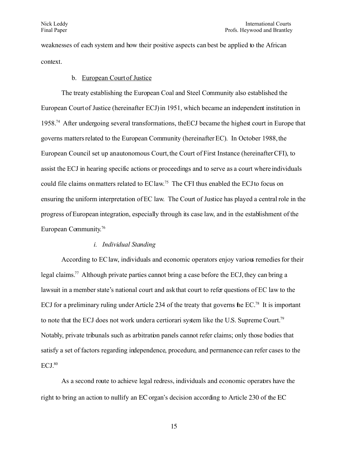weaknesses of each system and how their positive aspects can best be applied to the African context.

### b. European Court of Justice

The treaty establishing the European Coal and Steel Community also established the European Court of Justice (hereinafter ECJ) in 1951, which became an independent institution in 1958.<sup>[74](#page-40-12)</sup> After undergoing several transformations, the ECJ became the highest court in Europe that governs matters related to the European Community (hereinafter EC). In October 1988, the European Council set up an autonomous Court, the Court of First Instance (hereinafter CFI), to assist the ECJ in hearing specific actions or proceedings and to serve as a court where individuals could file claims on matters related to EC law. [75](#page-40-13) The CFI thus enabled the ECJ to focus on ensuring the uniform interpretation of EC law. The Court of Justice has played a central role in the progress of European integration, especially through its case law, and in the establishment of the European Community. [76](#page-40-14)

## *i. Individual Standing*

According to EC law, individuals and economic operators enjoy various remedies for their legal claims.<sup>[77](#page-40-15)</sup> Although private parties cannot bring a case before the ECJ, they can bring a lawsuit in a member state's national court and ask that court to refer questions of EC law to the ECJ for a preliminary ruling under Article 234 of the treaty that governs the EC.<sup>[78](#page-40-16)</sup> It is important to note that the ECJ does not work under a certiorari system like the U.S. Supreme Court.<sup>[79](#page-40-17)</sup> Notably, private tribunals such as arbitration panels cannot refer claims; only those bodies that satisfy a set of factors regarding independence, procedure, and permanence can refer cases to the ECJ.[80](#page-40-18)

As a second route to achieve legal redress, individuals and economic operators have the right to bring an action to nullify an EC organ's decision according to Article 230 of the EC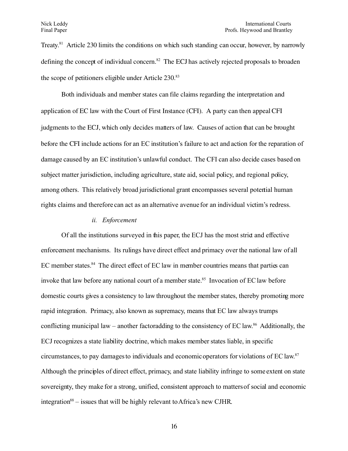Treaty.<sup>[81](#page-40-19)</sup> Article 230 limits the conditions on which such standing can occur, however, by narrowly defining the concept of individual concern.<sup>[82](#page-40-20)</sup> The ECJ has actively rejected proposals to broaden the scope of petitioners eligible under Article 230.<sup>[83](#page-40-21)</sup>

Both individuals and member states can file claims regarding the interpretation and application of EC law with the Court of First Instance (CFI). A party can then appeal CFI judgments to the ECJ, which only decides matters of law. Causes of action that can be brought before the CFI include actions for an EC institution's failure to act and action for the reparation of damage caused by an EC institution's unlawful conduct. The CFI can also decide cases based on subject matter jurisdiction, including agriculture, state aid, social policy, and regional policy, among others. This relatively broad jurisdictional grant encompasses several potential human rights claims and therefore can act as an alternative avenue for an individual victim's redress.

### *ii. Enforcement*

Of all the institutions surveyed in this paper, the ECJ has the most strict and effective enforcement mechanisms. Its rulings have direct effect and primacy over the national law of all EC member states.<sup>[84](#page-40-22)</sup> The direct effect of EC law in member countries means that parties can invoke that law before any national court of a member state.<sup>[85](#page-40-23)</sup> Invocation of EC law before domestic courts gives a consistency to law throughout the member states, thereby promoting more rapid integration. Primacy, also known as supremacy, means that EC law always trumps conflicting municipal law – another factoradding to the consistency of EC law.<sup>[86](#page-41-0)</sup> Additionally, the ECJ recognizes a state liability doctrine, which makes member states liable, in specific circumstances, to pay damages to individuals and economic operators for violations of EC law. [87](#page-41-1) Although the principles of direct effect, primacy, and state liability infringe to some extent on state sovereignty, they make for a strong, unified, consistent approach to matters of social and economic integration<sup>[88](#page-41-2)</sup> – issues that will be highly relevant to Africa's new CJHR.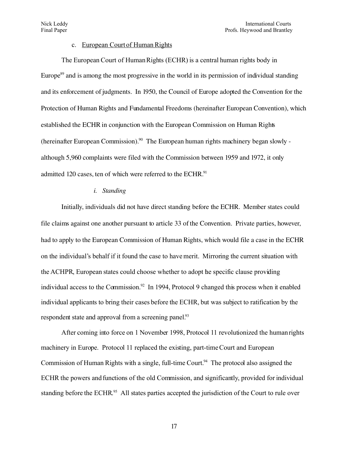## c. European Court of Human Rights

The European Court of Human Rights (ECHR) is a central human rights body in Europe $89$  and is among the most progressive in the world in its permission of individual standing and its enforcement of judgments. In 1950, the Council of Europe adopted the Convention for the Protection of Human Rights and Fundamental Freedoms (hereinafter European Convention), which established the ECHR in conjunction with the European Commission on Human Rights (hereinafter European Commission).<sup>[90](#page-41-4)</sup> The European human rights machinery began slowly although 5,960 complaints were filed with the Commission between 1959 and 1972, it only admitted 120 cases, ten of which were referred to the ECHR.<sup>[91](#page-41-5)</sup>

### *i. Standing*

Initially, individuals did not have direct standing before the ECHR. Member states could file claims against one another pursuant to article 33 of the Convention. Private parties, however, had to apply to the European Commission of Human Rights, which would file a case in the ECHR on the individual's behalf if it found the case to have merit. Mirroring the current situation with the ACHPR, European states could choose whether to adopt the specific clause providing individual access to the Commission.<sup>[92](#page-41-6)</sup> In 1994, Protocol 9 changed this process when it enabled individual applicants to bring their cases before the ECHR, but was subject to ratification by the respondent state and approval from a screening panel.<sup>[93](#page-41-7)</sup>

After coming into force on 1 November 1998, Protocol 11 revolutionized the human rights machinery in Europe. Protocol 11 replaced the existing, part-time Court and European Commission of Human Rights with a single, full-time Court.<sup>[94](#page-41-8)</sup> The protocol also assigned the ECHR the powers and functions of the old Commission, and significantly, provided for individual standing before the ECHR.<sup>[95](#page-41-9)</sup> All states parties accepted the jurisdiction of the Court to rule over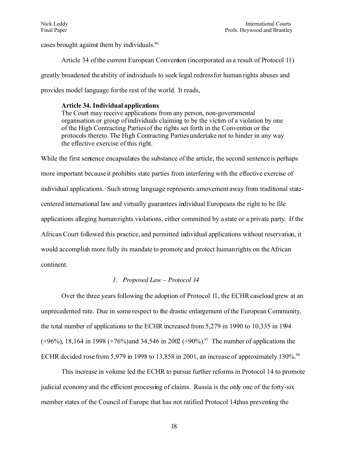cases brought against them by individuals.<sup>[96](#page-41-10)</sup>

Article 34 of the current European Convention (incorporated as a result of Protocol 11) greatly broadened the ability of individuals to seek legal redress for human rights abuses and provides model language for the rest of the world. It reads,

### **Article 34. Individual applications**

The Court may receive applications from any person, non-governmental organisation or group of individuals claiming to be the victim of a violation by one of the High Contracting Parties of the rights set forth in the Convention or the protocols thereto. The High Contracting Parties undertake not to hinder in any way the effective exercise of this right.

While the first sentence encapsulates the substance of the article, the second sentence is perhaps more important because it prohibits state parties from interfering with the effective exercise of individual applications. Such strong language represents a movement away from traditional statecentered international law and virtually guarantees individual Europeans the right to be file applications alleging human rights violations, either committed by a state or a private party. If the African Court followed this practice, and permitted individual applications without reservation, it would accomplish more fully its mandate to promote and protect human rights on the African continent*.*

## *1. Proposed Law – Protocol 14*

Over the three years following the adoption of Protocol 11, the ECHR caseload grew at an unprecedented rate. Due in some respect to the drastic enlargement of the European Community, the total number of applications to the ECHR increased from 5,279 in 1990 to 10,335 in 1994  $(+96%)$ , 18,164 in 1998  $(+76%)$  and 34,546 in 2002  $(+90%)$ .<sup>[97](#page-41-11)</sup> The number of applications the ECHR decided rose from 5,979 in 19[98](#page-42-0) to 13,858 in 2001, an increase of approximately 130%.<sup>98</sup>

This increase in volume led the ECHR to pursue further reforms in Protocol 14 to promote judicial economy and the efficient processing of claims. Russia is the only one of the forty-six member states of the Council of Europe that has not ratified Protocol 14 thus preventing the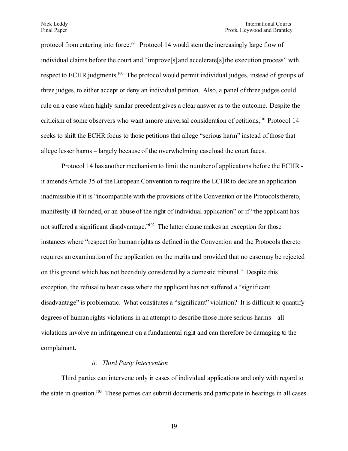#### Nick Leddy International Courts Final Paper Profs. Heywood and Brantley

protocol from entering into force.<sup>[99](#page-42-1)</sup> Protocol 14 would stem the increasingly large flow of individual claims before the court and "improve[s] and accelerate[s] the execution process" with respect to ECHR judgments.<sup>[100](#page-42-2)</sup> The protocol would permit individual judges, instead of groups of three judges, to either accept or deny an individual petition. Also, a panel of three judges could rule on a case when highly similar precedent gives a clear answer as to the outcome. Despite the criticism of some observers who want a more universal consideration of petitions,<sup>[101](#page-42-3)</sup> Protocol 14 seeks to shift the ECHR focus to those petitions that allege "serious harm" instead of those that allege lesser harms – largely because of the overwhelming case load the court faces.

Protocol 14 has another mechanism to limit the number of applications before the ECHR it amends Article 35 of the European Convention to require the ECHR to declare an application inadmissible if it is "incompatible with the provisions of the Convention or the Protocolsthereto, manifestly ill-founded, or an abuse of the right of individual application" or if "the applicant has not suffered a significant disadvantage."<sup>[102](#page-42-4)</sup> The latter clause makes an exception for those instances where "respect for human rights as defined in the Convention and the Protocols thereto requires an examination of the application on the merits and provided that no case may be rejected on this ground which has not been duly considered by a domestic tribunal." Despite this exception, the refusal to hear cases where the applicant has not suffered a "significant" disadvantage" is problematic. What constitutes a "significant" violation? It is difficult to quantify degrees of human rights violations in an attempt to describe those more serious harms – all violations involve an infringement on a fundamental right and can therefore be damaging to the complainant.

## *ii. Third Party Intervention*

Third parties can intervene only in cases of individual applications and only with regard to the state in question.<sup>[103](#page-42-5)</sup> These parties can submit documents and participate in hearings in all cases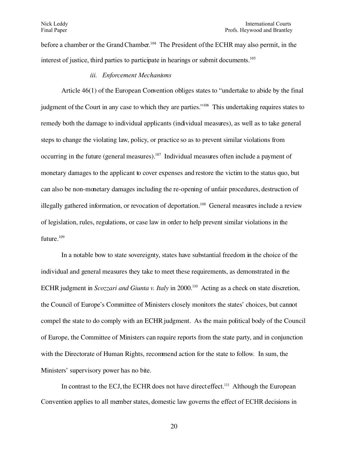before a chamber or the Grand Chamber.<sup>[104](#page-42-6)</sup> The President of the ECHR may also permit, in the interest of justice, third parties to participate in hearings or submit documents.<sup>[105](#page-42-7)</sup>

*iii. Enforcement Mechanisms*

Article 46(1) of the European Convention obliges states to "undertake to abide by the final judgment of the Court in any case to which they are parties."<sup>[106](#page-42-8)</sup> This undertaking requires states to remedy both the damage to individual applicants (individual measures), as well as to take general steps to change the violating law, policy, or practice so as to prevent similar violations from occurring in the future (general measures).<sup>[107](#page-42-9)</sup> Individual measures often include a payment of monetary damages to the applicant to cover expenses and restore the victim to the status quo, but can also be non-monetary damages including the re-opening of unfair procedures, destruction of illegally gathered information, or revocation of deportation.<sup>[108](#page-42-10)</sup> General measures include a review of legislation, rules, regulations, or case law in order to help prevent similar violations in the future.<sup>[109](#page-42-11)</sup>

In a notable bow to state sovereignty, states have substantial freedom in the choice of the individual and general measures they take to meet these requirements, as demonstrated in the ECHR judgment in *Scozzari and Giunta v. Italy* in 2000.<sup>[110](#page-42-12)</sup> Acting as a check on state discretion, the Council of Europe's Committee of Ministers closely monitors the states' choices, but cannot compel the state to do comply with an ECHR judgment. As the main political body of the Council of Europe, the Committee of Ministers can require reports from the state party, and in conjunction with the Directorate of Human Rights, recommend action for the state to follow. In sum, the Ministers' supervisory power has no bite.

In contrast to the ECJ, the ECHR does not have direct effect.<sup>[111](#page-42-13)</sup> Although the European Convention applies to all member states, domestic law governs the effect of ECHR decisions in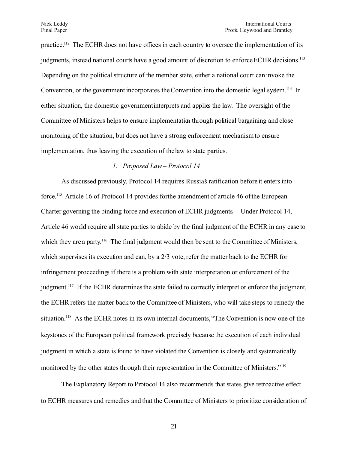practice.<sup>[112](#page-42-14)</sup> The ECHR does not have offices in each country to oversee the implementation of its judgments, instead national courts have a good amount of discretion to enforce ECHR decisions.[113](#page-42-15) Depending on the political structure of the member state, either a national court can invoke the Convention, or the government incorporates the Convention into the domestic legal system.<sup>[114](#page-42-16)</sup> In either situation, the domestic government interprets and applies the law. The oversight of the Committee of Ministers helps to ensure implementation through political bargaining and close monitoring of the situation, but does not have a strong enforcement mechanism to ensure implementation, thus leaving the execution of the law to state parties.

## *1. Proposed Law – Protocol 14*

As discussed previously, Protocol 14 requires Russia's ratification before it enters into force.<sup>[115](#page-43-0)</sup> Article 16 of Protocol 14 provides forthe amendment of article 46 of the European Charter governing the binding force and execution of ECHR judgments*.* Under Protocol 14, Article 46 would require all state parties to abide by the final judgment of the ECHR in any case to which they are a party.<sup>[116](#page-43-1)</sup> The final judgment would then be sent to the Committee of Ministers, which supervises its execution and can, by a 2/3 vote, refer the matter back to the ECHR for infringement proceedings if there is a problem with state interpretation or enforcement of the judgment.<sup>[117](#page-43-2)</sup> If the ECHR determines the state failed to correctly interpret or enforce the judgment, the ECHR refers the matter back to the Committee of Ministers, who will take steps to remedy the situation.<sup>[118](#page-43-3)</sup> As the ECHR notes in its own internal documents, "The Convention is now one of the keystones of the European political framework precisely because the execution of each individual judgment in which a state is found to have violated the Convention is closely and systematically monitored by the other states through their representation in the Committee of Ministers."<sup>[119](#page-43-4)</sup>

The Explanatory Report to Protocol 14 also recommends that states give retroactive effect to ECHR measures and remedies and that the Committee of Ministers to prioritize consideration of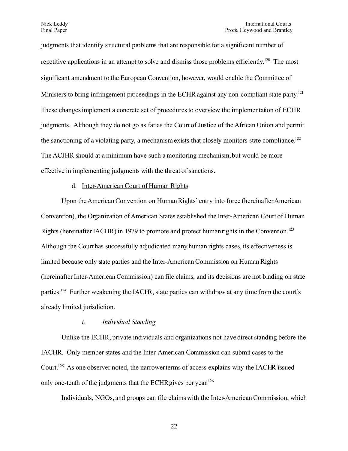judgments that identify structural problems that are responsible for a significant number of repetitive applications in an attempt to solve and dismiss those problems efficiently.<sup>[120](#page-43-5)</sup> The most significant amendment to the European Convention, however, would enable the Committee of Ministers to bring infringement proceedings in the ECHR against any non-compliant state party.<sup>[121](#page-43-6)</sup> These changes implement a concrete set of procedures to overview the implementation of ECHR judgments. Although they do not go as far as the Court of Justice of the African Union and permit the sanctioning of a violating party, a mechanism exists that closely monitors state compliance.<sup>[122](#page-43-7)</sup> The ACJHR should at a minimum have such a monitoring mechanism, but would be more effective in implementing judgments with the threat of sanctions.

### d. Inter-American Court of Human Rights

Upon the American Convention on Human Rights' entry into force (hereinafter American Convention), the Organization of American States established the Inter-American Court of Human Rights (hereinafter IACHR) in 1979 to promote and protect human rights in the Convention.<sup>[123](#page-43-8)</sup> Although the Court has successfully adjudicated many human rights cases, its effectiveness is limited because only state parties and the Inter-American Commission on Human Rights (hereinafter Inter-American Commission) can file claims, and its decisions are not binding on state parties.<sup>[124](#page-43-9)</sup> Further weakening the IACHR, state parties can withdraw at any time from the court's already limited jurisdiction.

#### *i. Individual Standing*

Unlike the ECHR, private individuals and organizations not have direct standing before the IACHR. Only member states and the Inter-American Commission can submit cases to the Court.[125](#page-43-10) As one observer noted, the narrower terms of access explains why the IACHR issued only one-tenth of the judgments that the ECHR gives per year.<sup>[126](#page-43-11)</sup>

Individuals, NGOs, and groups can file claims with the Inter-American Commission, which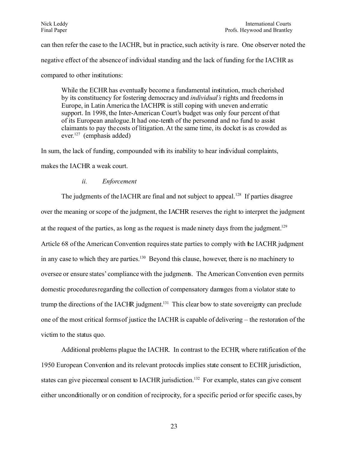can then refer the case to the IACHR, but in practice, such activity is rare. One observer noted the negative effect of the absence of individual standing and the lack of funding for the IACHR as compared to other institutions:

While the ECHR has eventually become a fundamental institution, much cherished by its constituency for fostering democracy and *individual's* rights and freedoms in Europe, in Latin America the IACHPR is still coping with uneven and erratic support. In 1998, the Inter-American Court's budget was only four percent of that of its European analogue. It had one-tenth of the personnel and no fund to assist claimants to pay the costs of litigation. At the same time, its docket is as crowded as ever.<sup>[127](#page-43-12)</sup> (emphasis added)

In sum, the lack of funding, compounded with its inability to hear individual complaints,

makes the IACHR a weak court.

## *ii. Enforcement*

The judgments of the IACHR are final and not subject to appeal.<sup>[128](#page-43-13)</sup> If parties disagree over the meaning or scope of the judgment, the IACHR reserves the right to interpret the judgment at the request of the parties, as long as the request is made ninety days from the judgment.<sup>[129](#page-43-14)</sup> Article 68 of the American Convention requires state parties to comply with the IACHR judgment in any case to which they are parties.<sup>[130](#page-43-15)</sup> Beyond this clause, however, there is no machinery to oversee or ensure states' compliance with the judgments. The American Convention even permits domestic procedures regarding the collection of compensatory damages from a violator state to trump the directions of the IACHR judgment.<sup>[131](#page-43-16)</sup> This clear bow to state sovereignty can preclude one of the most critical forms of justice the IACHR is capable of delivering – the restoration of the victim to the status quo.

Additional problems plague the IACHR. In contrast to the ECHR, where ratification of the 1950 European Convention and its relevant protocols implies state consent to ECHR jurisdiction, states can give piecemeal consent to IACHR jurisdiction.<sup>[132](#page-43-17)</sup> For example, states can give consent either unconditionally or on condition of reciprocity, for a specific period or for specific cases, by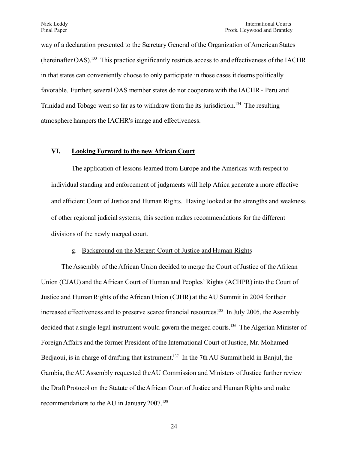way of a declaration presented to the Secretary General of the Organization of American States (hereinafter OAS).[133](#page-43-18) This practice significantly restricts access to and effectiveness of the IACHR in that states can conveniently choose to only participate in those cases it deems politically favorable. Further, several OAS member states do not cooperate with the IACHR - Peru and Trinidad and Tobago went so far as to withdraw from the its jurisdiction.<sup>[134](#page-43-19)</sup> The resulting atmosphere hampers the IACHR's image and effectiveness.

## VI. Looking Forward to the new African Court

The application of lessons learned from Europe and the Americas with respect to individual standing and enforcement of judgments will help Africa generate a more effective and efficient Court of Justice and Human Rights. Having looked at the strengths and weakness of other regional judicial systems, this section makes recommendations for the different divisions of the newly merged court.

## g. Background on the Merger: Court of Justice and Human Rights

The Assembly of the African Union decided to merge the Court of Justice of the African Union (CJAU) and the African Court of Human and Peoples' Rights (ACHPR) into the Court of Justice and Human Rights of the African Union (CJHR) at the AU Summit in 2004 for their increased effectiveness and to preserve scarce financial resources.<sup>[135](#page-44-0)</sup> In July 2005, the Assembly decided that a single legal instrument would govern the merged courts.<sup>[136](#page-44-1)</sup> The Algerian Minister of Foreign Affairs and the former President of the International Court of Justice, Mr. Mohamed Bedjaoui, is in charge of drafting that instrument.<sup>[137](#page-44-2)</sup> In the 7th AU Summit held in Banjul, the Gambia, the AU Assembly requested the AU Commission and Ministers of Justice further review the Draft Protocol on the Statute of the African Court of Justice and Human Rights and make recommendations to the AU in January 2007.<sup>[138](#page-44-3)</sup>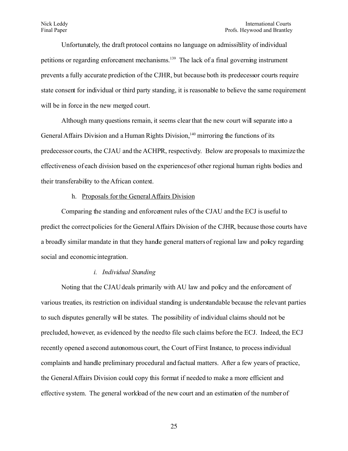Unfortunately, the draft protocol contains no language on admissibility of individual petitions or regarding enforcement mechanisms.<sup>[139](#page-44-4)</sup> The lack of a final governing instrument prevents a fully accurate prediction of the CJHR, but because both its predecessor courts require state consent for individual or third party standing, it is reasonable to believe the same requirement will be in force in the new merged court.

Although many questions remain, it seems clear that the new court will separate into a General Affairs Division and a Human Rights Division,<sup>[140](#page-44-5)</sup> mirroring the functions of its predecessor courts, the CJAU and the ACHPR, respectively. Below are proposals to maximize the effectiveness of each division based on the experiences of other regional human rights bodies and their transferability to the African context.

### h. Proposals for the General Affairs Division

Comparing the standing and enforcement rules of the CJAU and the ECJ is useful to predict the correct policies for the General Affairs Division of the CJHR, because those courts have a broadly similar mandate in that they hande general matters of regional law and policy regarding social and economic integration.

#### *i. Individual Standing*

Noting that the CJAU deals primarily with AU law and policy and the enforcement of various treaties, its restriction on individual standing is understandable because the relevant parties to such disputes generally will be states. The possibility of individual claims should not be precluded, however, as evidenced by the need to file such claims before the ECJ. Indeed, the ECJ recently opened a second autonomous court, the Court of First Instance, to process individual complaints and handle preliminary procedural and factual matters. After a few years of practice, the General Affairs Division could copy this format if needed to make a more efficient and effective system. The general workload of the new court and an estimation of the number of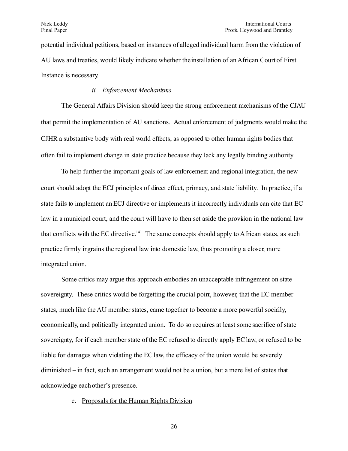potential individual petitions, based on instances of alleged individual harm from the violation of AU laws and treaties, would likely indicate whether the installation of an African Court of First Instance is necessary.

## *ii. Enforcement Mechanisms*

The General Affairs Division should keep the strong enforcement mechanisms of the CJAU that permit the implementation of AU sanctions. Actual enforcement of judgments would make the CJHR a substantive body with real world effects, as opposed to other human rights bodies that often fail to implement change in state practice because they lack any legally binding authority.

To help further the important goals of law enforcement and regional integration, the new court should adopt the ECJ principles of direct effect, primacy, and state liability. In practice, if a state fails to implement an ECJ directive or implements it incorrectly individuals can cite that EC law in a municipal court, and the court will have to then set aside the provision in the national law that conflicts with the EC directive.<sup>[141](#page-44-6)</sup> The same concepts should apply to African states, as such practice firmly ingrains the regional law into domestic law, thus promoting a closer, more integrated union.

Some critics may argue this approach embodies an unacceptable infringement on state sovereignty. These critics would be forgetting the crucial point, however, that the EC member states, much like the AU member states, came together to become a more powerful socially, economically, and politically integrated union. To do so requires at least some sacrifice of state sovereignty, for if each member state of the EC refused to directly apply EC law, or refused to be liable for damages when violating the EC law, the efficacy of the union would be severely diminished – in fact, such an arrangement would not be a union, but a mere list of states that acknowledge each other's presence.

### e. Proposals for the Human Rights Division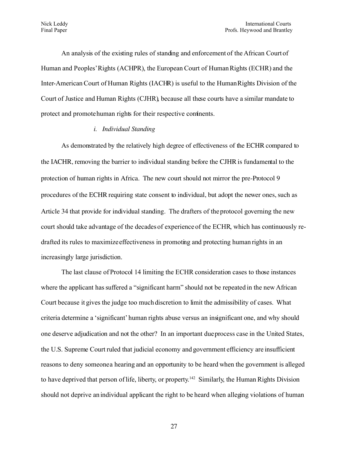An analysis of the existing rules of standing and enforcement of the African Court of Human and Peoples'Rights (ACHPR), the European Court of Human Rights (ECHR) and the Inter-American Court of Human Rights (IACHR) is useful to the Human Rights Division of the Court of Justice and Human Rights (CJHR), because all these courts have a similar mandate to protect and promote human rights for their respective continents.

### *i. Individual Standing*

As demonstrated by the relatively high degree of effectiveness of the ECHR compared to the IACHR, removing the barrier to individual standing before the CJHR is fundamental to the protection of human rights in Africa. The new court should not mirror the pre-Protocol 9 procedures of the ECHR requiring state consent to individual, but adopt the newer ones, such as Article 34 that provide for individual standing. The drafters of the protocol governing the new court should take advantage of the decades of experience of the ECHR, which has continuously redrafted its rules to maximize effectiveness in promoting and protecting human rights in an increasingly large jurisdiction.

The last clause of Protocol 14 limiting the ECHR consideration cases to those instances where the applicant has suffered a "significant harm" should not be repeated in the new African Court because it gives the judge too much discretion to limit the admissibility of cases. What criteria determine a 'significant' human rights abuse versus an insignificant one, and why should one deserve adjudication and not the other? In an important due process case in the United States, the U.S. Supreme Court ruled that judicial economy and government efficiency are insufficient reasons to deny someone a hearing and an opportunity to be heard when the government is alleged to have deprived that person of life, liberty, or property.<sup>[142](#page-44-7)</sup> Similarly, the Human Rights Division should not deprive an individual applicant the right to be heard when alleging violations of human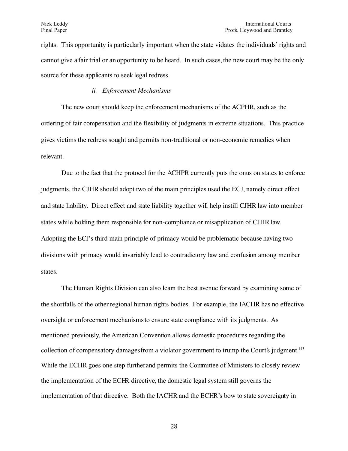rights. This opportunity is particularly important when the state violates the individuals' rights and cannot give a fair trial or an opportunity to be heard. In such cases, the new court may be the only source for these applicants to seek legal redress.

## *ii. Enforcement Mechanisms*

The new court should keep the enforcement mechanisms of the ACPHR, such as the ordering of fair compensation and the flexibility of judgments in extreme situations. This practice gives victims the redress sought and permits non-traditional or non-economic remedies when relevant.

Due to the fact that the protocol for the ACHPR currently puts the onus on states to enforce judgments, the CJHR should adopt two of the main principles used the ECJ, namely direct effect and state liability. Direct effect and state liability together will help instill CJHR law into member states while holding them responsible for non-compliance or misapplication of CJHR law. Adopting the ECJ's third main principle of primacy would be problematic because having two divisions with primacy would invariably lead to contradictory law and confusion among member states.

The Human Rights Division can also leam the best avenue forward by examining some of the shortfalls of the other regional human rights bodies. For example, the IACHR has no effective oversight or enforcement mechanisms to ensure state compliance with its judgments. As mentioned previously, the American Convention allows domestic procedures regarding the collection of compensatory damages from a violator government to trump the Court's judgment.<sup>[143](#page-44-8)</sup> While the ECHR goes one step further and permits the Committee of Ministers to closely review the implementation of the ECHR directive, the domestic legal system still governs the implementation of that directive. Both the IACHR and the ECHR's bow to state sovereignty in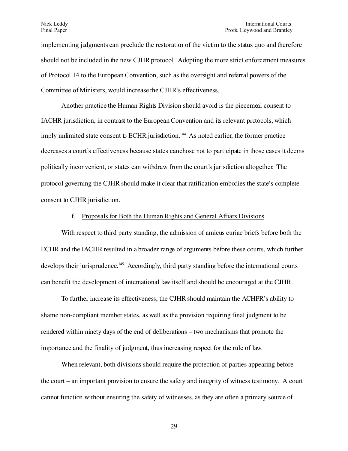implementing judgments can preclude the restoration of the victim to the status quo and therefore should not be included in the new CJHR protocol. Adopting the more strict enforcement measures of Protocol 14 to the European Convention, such as the oversight and referral powers of the Committee of Ministers, would increase the CJHR's effectiveness.

Another practice the Human Rights Division should avoid is the piecemeal consent to IACHR jurisdiction, in contrast to the European Convention and its relevant protocols, which imply unlimited state consent to ECHR jurisdiction.<sup>[144](#page-44-9)</sup> As noted earlier, the former practice decreases a court's effectiveness because states can chose not to participate in those cases it deems politically inconvenient, or states can withdraw from the court's jurisdiction altogether. The protocol governing the CJHR should make it clear that ratification embodies the state's complete consent to CJHR jurisdiction.

### f. Proposals for Both the Human Rights and General Affiars Divisions

With respect to third party standing, the admission of amicus curiae briefs before both the ECHR and the IACHR resulted in a broader range of arguments before these courts, which further develops their jurisprudence.<sup>[145](#page-44-10)</sup> Accordingly, third party standing before the international courts can benefit the development of international law itself and should be encouraged at the CJHR.

To further increase its effectiveness, the CJHR should maintain the ACHPR's ability to shame non-compliant member states, as well as the provision requiring final judgment to be rendered within ninety days of the end of deliberations – two mechanisms that promote the importance and the finality of judgment, thus increasing respect for the rule of law.

When relevant, both divisions should require the protection of parties appearing before the court – an important provision to ensure the safety and integrity of witness testimony. A court cannot function without ensuring the safety of witnesses, as they are often a primary source of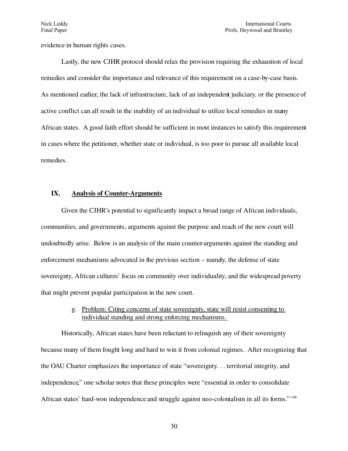evidence in human rights cases.

Lastly, the new CJHR protocol should relax the provision requiring the exhaustion of local remedies and consider the importance and relevance of this requirement on a case-by-case basis. As mentioned earlier, the lack of infrastructure, lack of an independent judiciary, or the presence of active conflict can all result in the inability of an individual to utilize local remedies in many African states. A good faith effort should be sufficient in most instances to satisfy this requirement in cases where the petitioner, whether state or individual, is too poor to pursue all available local remedies.

### IX. Analysis of Counter-Arguments

Given the CJHR's potential to significantly impact a broad range of African individuals, communities, and governments, arguments against the purpose and reach of the new court will undoubtedly arise. Below is an analysis of the main counterarguments against the standing and enforcement mechanisms advocated in the previous section – namely, the defense of state sovereignty, African cultures' focus on community over individuality, and the widespread poverty that might prevent popular participation in the new court.

# g. Problem: Citing concerns of state sovereignty, state will resist consenting to individual standing and strong enforcing mechanisms.

Historically, African states have been reluctant to relinquish any of their sovereignty because many of them fought long and hard to win it from colonial regimes. After recognizing that the OAU Charter emphasizes the importance of state "sovereignty. . . territorial integrity, and independence," one scholar notes that these principles were "essential in order to consolidate African states' hard-won independence and struggle against neo-colonialism in all its forms."<sup>[146](#page-45-0)</sup>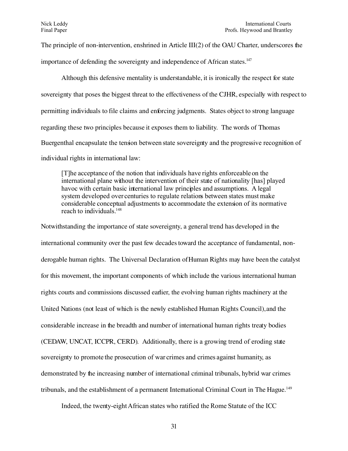The principle of non-intervention, enshrined in Article  $III(2)$  of the OAU Charter, underscores the

importance of defending the sovereignty and independence of African states.<sup>[147](#page-45-1)</sup>

Although this defensive mentality is understandable, it is ironically the respect for state sovereignty that poses the biggest threat to the effectiveness of the CJHR, especially with respect to permitting individuals to file claims and enforcing judgments. States object to strong language regarding these two principles because it exposes them to liability. The words of Thomas Buergenthal encapsulate the tension between state sovereignty and the progressive recognition of individual rights in international law:

[T]he acceptance of the notion that individuals have rights enforceable on the international plane without the intervention of their state of nationality [has] played havoc with certain basic international law principles and assumptions. A legal system developed over centuries to regulate relations between states must make considerable conceptual adjustments to accommodate the extension of its normative reach to individuals.<sup>[148](#page-45-2)</sup>

Notwithstanding the importance of state sovereignty, a general trend has developed in the international community over the past few decades toward the acceptance of fundamental, nonderogable human rights. The Universal Declaration of Human Rights may have been the catalyst for this movement, the important components of which include the various international human rights courts and commissions discussed earlier, the evolving human rights machinery at the United Nations (not least of which is the newly established Human Rights Council), and the considerable increase in the breadth and number of international human rights treaty bodies (CEDAW, UNCAT, ICCPR, CERD). Additionally, there is a growing trend of eroding state sovereignty to promote the prosecution of war crimes and crimes against humanity, as demonstrated by the increasing number of international criminal tribunals, hybrid war crimes tribunals, and the establishment of a permanent International Criminal Court in The Hague.<sup>[149](#page-45-3)</sup>

Indeed, the twenty-eight African states who ratified the Rome Statute of the ICC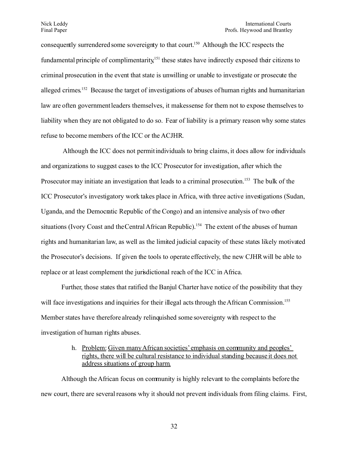consequently surrendered some sovereignty to that court.<sup>[150](#page-45-4)</sup> Although the ICC respects the fundamental principle of complimentarity.<sup>[151](#page-45-5)</sup> these states have indirectly exposed their citizens to criminal prosecution in the event that state is unwilling or unable to investigate or prosecute the alleged crimes.<sup>[152](#page-45-6)</sup> Because the target of investigations of abuses of human rights and humanitarian law are often government leaders themselves, it makes sense for them not to expose themselves to liability when they are not obligated to do so. Fear of liability is a primary reason why some states refuse to become members of the ICC or the ACJHR.

Although the ICC does not permit individuals to bring claims, it does allow for individuals and organizations to suggest cases to the ICC Prosecutor for investigation, after which the Prosecutor may initiate an investigation that leads to a criminal prosecution.<sup>[153](#page-45-7)</sup> The bulk of the ICC Prosecutor's investigatory work takes place in Africa, with three active investigations (Sudan, Uganda, and the Democratic Republic of the Congo) and an intensive analysis of two other situations (Ivory Coast and the Central African Republic).<sup>[154](#page-45-8)</sup> The extent of the abuses of human rights and humanitarian law, as well as the limited judicial capacity of these states likely motivated the Prosecutor's decisions. If given the tools to operate effectively, the new CJHR will be able to replace or at least complement the jurisdictional reach of the ICC in Africa.

Further, those states that ratified the Banjul Charter have notice of the possibility that they will face investigations and inquiries for their illegal acts through the African Commission.<sup>[155](#page-45-9)</sup> Member states have therefore already relinquished some sovereignty with respect to the investigation of human rights abuses.

> h. Problem: Given many African societies' emphasis on community and peoples' rights, there will be cultural resistance to individual standing because it does not address situations of group harm.

Although the African focus on community is highly relevant to the complaints before the new court, there are several reasons why it should not prevent individuals from filing claims. First,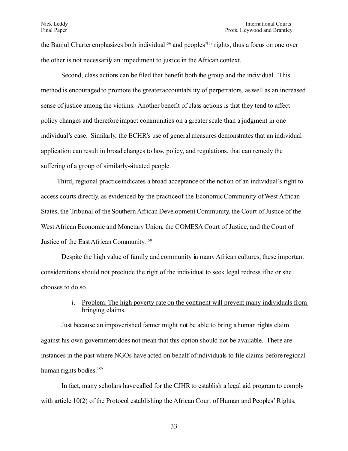the Banjul Charter emphasizes both individual<sup>[156](#page-46-0)</sup> and peoples<sup>[157](#page-46-1)</sup> rights, thus a focus on one over the other is not necessarily an impediment to justice in the African context.

Second, class actions can be filed that benefit both the group and the individual. This method is encouraged to promote the greater accountability of perpetrators, as well as an increased sense of justice among the victims. Another benefit of class actions is that they tend to affect policy changes and therefore impact communities on a greater scale than a judgment in one individual's case. Similarly, the ECHR's use of general measures demonstrates that an individual application can result in broad changes to law, policy, and regulations, that can remedy the suffering of a group of similarly-situated people.

Third, regional practice indicates a broad acceptance of the notion of an individual's right to access courts directly, as evidenced by the practice of the Economic Community of West African States, the Tribunal of the Southern African Development Community, the Court of Justice of the West African Economic and Monetary Union, the COMESA Court of Justice, and the Court of Justice of the East African Community. [158](#page-46-2)

Despite the high value of family and community in many African cultures, these important considerations should not preclude the right of the individual to seek legal redress if he or she chooses to do so.

# i. Problem: The high poverty rate on the continent will prevent many individuals from bringing claims.

Just because an impoverished farmer might not be able to bring a human rights claim against his own government does not mean that this option should not be available. There are instances in the past where NGOs have acted on behalf of individuals to file claims before regional human rights bodies.<sup>[159](#page-46-3)</sup>

In fact, many scholars have called for the CJHR to establish a legal aid program to comply with article 10(2) of the Protocol establishing the African Court of Human and Peoples' Rights,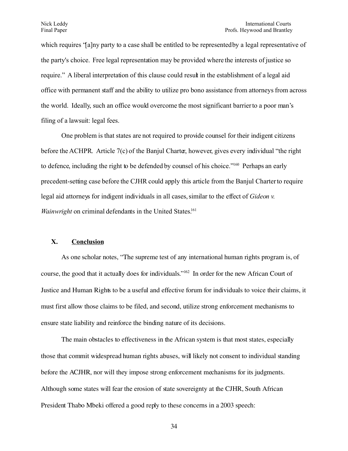which requires "alny party to a case shall be entitled to be represented by a legal representative of the party's choice. Free legal representation may be provided where the interests of justice so require." A liberal interpretation of this clause could result in the establishment of a legal aid office with permanent staff and the ability to utilize pro bono assistance from attorneys from across the world. Ideally, such an office would overcome the most significant barrier to a poor man's filing of a lawsuit: legal fees.

One problem is that states are not required to provide counsel for their indigent citizens before the ACHPR. Article 7(c) of the Banjul Charter, however, gives every individual "the right to defence, including the right to be defended by counsel of his choice."[160](#page-46-4) Perhaps an early precedent-setting case before the CJHR could apply this article from the Banjul Charter to require legal aid attorneys for indigent individuals in all cases, similar to the effect of *Gideon v. Wainwright* on criminal defendants in the United States.<sup>[161](#page-46-5)</sup>

## **X. Conclusion**

As one scholar notes, "The supreme test of any international human rights program is, of course, the good that it actually does for individuals."<sup>[162](#page-46-6)</sup> In order for the new African Court of Justice and Human Rights to be a useful and effective forum for individuals to voice their claims, it must first allow those claims to be filed, and second, utilize strong enforcement mechanisms to ensure state liability and reinforce the binding nature of its decisions.

The main obstacles to effectiveness in the African system is that most states, especially those that commit widespread human rights abuses, will likely not consent to individual standing before the ACJHR, nor will they impose strong enforcement mechanisms for its judgments. Although some states will fear the erosion of state sovereignty at the CJHR, South African President Thabo Mbeki offered a good reply to these concerns in a 2003 speech: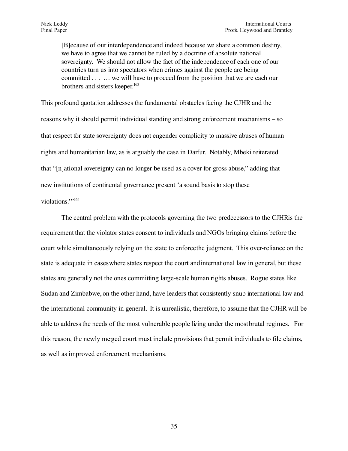[B]ecause of our interdependence and indeed because we share a common destiny, we have to agree that we cannot be ruled by a doctrine of absolute national sovereignty. We should not allow the fact of the independence of each one of our countries turn us into spectators when crimes against the people are being committed . . . … we will have to proceed from the position that we are each our brothers and sisters keeper. [163](#page-46-7)

This profound quotation addresses the fundamental obstacles facing the CJHR and the reasons why it should permit individual standing and strong enforcement mechanisms – so that respect for state sovereignty does not engender complicity to massive abuses of human rights and humanitarian law, as is arguably the case in Darfur. Notably, Mbeki reiterated that "[n]ational sovereignty can no longer be used as a cover for gross abuse," adding that new institutions of continental governance present 'a sound basis to stop these violations.'" [164](#page-46-8)

The central problem with the protocols governing the two predecessors to the CJHR is the requirement that the violator states consent to individuals and NGOs bringing claims before the court while simultaneously relying on the state to enforce the judgment. This over-reliance on the state is adequate in cases where states respect the court and international law in general, but these states are generally not the ones committing large-scale human rights abuses. Rogue states like Sudan and Zimbabwe, on the other hand, have leaders that consistently snub international law and the international community in general. It is unrealistic, therefore, to assume that the CJHR will be able to address the needs of the most vulnerable people living under the most brutal regimes. For this reason, the newly merged court must include provisions that permit individuals to file claims, as well as improved enforcement mechanisms.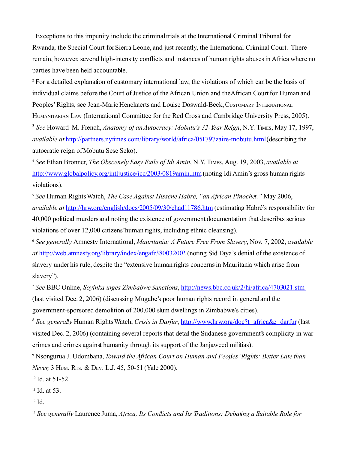<span id="page-36-0"></span><sup>1</sup> Exceptions to this impunity include the criminal trials at the International Criminal Tribunal for Rwanda, the Special Court for Sierra Leone, and just recently, the International Criminal Court. There remain, however, several high-intensity conflicts and instances of human rights abuses in Africa where no parties have been held accountable.

<span id="page-36-1"></span><sup>2</sup> For a detailed explanation of customary international law, the violations of which can be the basis of individual claims before the Court of Justice of the African Union and the African Court for Human and Peoples' Rights, see Jean-Marie Henckaerts and Louise Doswald-Beck, CUSTOMARY INTERNATIONAL HUMANITARIAN LAW (International Committee for the Red Cross and Cambridge University Press, 2005).

<span id="page-36-2"></span>3 *See* Howard M. French, *Anatomy of an Autocracy: Mobutu's 32-Year Reign*, N.Y. TIMES, May 17, 1997, *available at* <http://partners.nytimes.com/library/world/africa/051797zaire-mobutu.html>(describing the autocratic reign of Mobutu Sese Seko).

<span id="page-36-3"></span><sup>4</sup> *See* Ethan Bronner, *The Obscenely Easy Exile of Idi Amin*, N.Y. TIMES, Aug. 19, 2003, *available at* <http://www.globalpolicy.org/intljustice/icc/2003/0819amin.htm>(noting Idi Amin's gross human rights violations).

<span id="page-36-4"></span><sup>5</sup> *See* Human Rights Watch, *The Case Against Hissène Habré, "an African Pinochet,"* May 2006, *available at* <http://hrw.org/english/docs/2005/09/30/chad11786.htm>(estimating Habré's responsibility for 40,000 political murders and noting the existence of government documentation that describes serious violations of over 12,000 citizens' human rights, including ethnic cleansing).

<span id="page-36-5"></span><sup>6</sup> *See generally* Amnesty International, *Mauritania: A Future Free From Slavery*, Nov. 7, 2002, *available at* <http://web.amnesty.org/library/index/engafr380032002> (noting Sid Taya's denial of the existence of slavery under his rule, despite the "extensive human rights concerns in Mauritania which arise from slavery").

<span id="page-36-6"></span><sup>7</sup> *See* BBC Online, *Soyinka urges Zimbabwe Sanctions*, <http://news.bbc.co.uk/2/hi/africa/4703021.stm> (last visited Dec. 2, 2006) (discussing Mugabe's poor human rights record in general and the government-sponsored demolition of 200,000 slum dwellings in Zimbabwe's cities).

<span id="page-36-7"></span>8 *See generally* Human Rights Watch, *Crisis in Darfur*,<http://www.hrw.org/doc?t=africa&c=darfur>(last visited Dec. 2, 2006) (containing several reports that detail the Sudanese government's complicity in war crimes and crimes against humanity through its support of the Janjaweed militias).

<span id="page-36-8"></span>9 Nsongurua J. Udombana,*Toward the African Court on Human and Peoples'Rights: Better Late than Never,* 3 HUM. RTS. & DEV. L.J. 45, 50-51 (Yale 2000).

<span id="page-36-9"></span><sup>10</sup> Id. at 51-52.

<span id="page-36-10"></span><sup>11</sup> Id. at 53.

<span id="page-36-11"></span>12 Id.

<span id="page-36-12"></span><sup>13</sup> *See generally* Laurence Juma, *Africa, Its Conflicts and Its Traditions: Debating a Suitable Role for*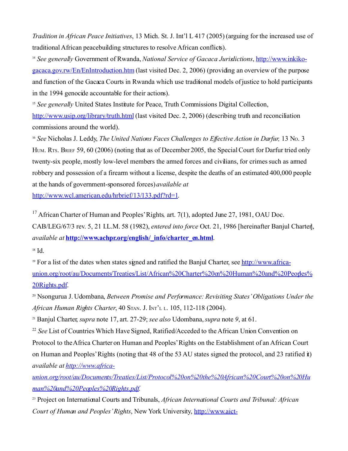*Tradition in African Peace Initiatives*, 13 Mich. St. J. Int'l L 417 (2005) (arguing for the increased use of traditional African peacebuilding structures to resolve African conflicts).

<span id="page-37-0"></span><sup>14</sup> *See generally* Government of Rwanda, *National Service of Gacaca Jurisdictions*, [http://www.inkiko](http://www.inkiko-gacaca.gov.rw/En/EnIntroduction.htm)[gacaca.gov.rw/En/EnIntroduction.htm](http://www.inkiko-gacaca.gov.rw/En/EnIntroduction.htm) (last visited Dec. 2, 2006) (providing an overview of the purpose and function of the Gacaca Courts in Rwanda which use traditional models of justice to hold participants in the 1994 genocide accountable for their actions).

<span id="page-37-1"></span><sup>15</sup> *See generally* United States Institute for Peace, Truth Commissions Digital Collection, <http://www.usip.org/library/truth.html>(last visited Dec. 2, 2006) (describing truth and reconciliation commissions around the world).

<span id="page-37-2"></span><sup>16</sup> *See* Nicholas J. Leddy, *The United Nations Faces Challenges to Effective Action in Darfur,* 13 NO. 3 HUM. RTS. BRIEF 59, 60 (2006) (noting that as of December 2005, the Special Court for Darfur tried only twenty-six people, mostly low-level members the armed forces and civilians, for crimes such as armed robbery and possession of a firearm without a license, despite the deaths of an estimated 400,000 people at the hands of government-sponsored forces)*available at*

[http://www.wcl.american.edu/hrbrief/13/133.pdf?rd=1.](http://www.wcl.american.edu/hrbrief/13/133.pdf?rd=1)

<span id="page-37-3"></span><sup>17</sup> African Charter of Human and Peoples' Rights, art. 7(1), adopted June 27, 1981, OAU Doc. CAB/LEG/67/3 rev. 5, 21 I.L.M. 58 (1982), *entered into force* Oct. 21, 1986 [hereinafter Banjul Charter], *available at* **[http://www.achpr.org/english/\\_info/charter\\_en.html](http://www.achpr.org/english/_info/charter_en.html)**. 18 Id.

<span id="page-37-5"></span><span id="page-37-4"></span><sup>19</sup> For a list of the dates when states signed and ratified the Banjul Charter, see [http://www.africa](http://www.africa-union.org/root/au/Documents/Treaties/List/African Charter on Human and Peoples Rights.pdf)union.org/root/au/Documents/Treaties/List/African%20Charter%20m%20Human%20and%20Peorles% [20Rights.pdf.](http://www.africa-union.org/root/au/Documents/Treaties/List/African Charter on Human and Peoples Rights.pdf)

<span id="page-37-6"></span><sup>20</sup> Nsongurua J. Udombana, *Between Promise and Performance: Revisiting States'Obligations Under the African Human Rights Charter*, 40 STAN. J. INT'<sup>L</sup> <sup>L</sup>. 105, 112-118 (2004).

<span id="page-37-7"></span>21 Banjul Charter, *supra* note 17, art. 27-29; *see also* Udombana,*supra* note *9*, at 61.

<span id="page-37-8"></span>22 *See* List of Countries Which Have Signed, Ratified/Acceded to the African Union Convention on Protocol to the Africa Charter on Human and Peoples'Rights on the Establishment of an African Court on Human and Peoples'Rights (noting that 48 of the 53 AU states signed the protocol, and 23 ratified it) *available at [http://www.africa-](http://www.africa-union.org/root/au/Documents/Treaties/List/Protocol on the African Court on Human and Peoples Rights.pdf)*

*[union.org/root/au/Documents/Treaties/List/Protocol%20on%20the%20African%20Court%20on%20Hu](http://www.africa-union.org/root/au/Documents/Treaties/List/Protocol on the African Court on Human and Peoples Rights.pdf) [man%20and%20Peoples%20Rights.pdf.](http://www.africa-union.org/root/au/Documents/Treaties/List/Protocol on the African Court on Human and Peoples Rights.pdf)* 

<span id="page-37-9"></span><sup>23</sup> Project on International Courts and Tribunals, *African International Courts and Tribunal: African Court of Human and Peoples' Rights*, New York University, [http://www.aict-](http://www.aict-ctia.org/courts_conti/achpr/achpr_home.html)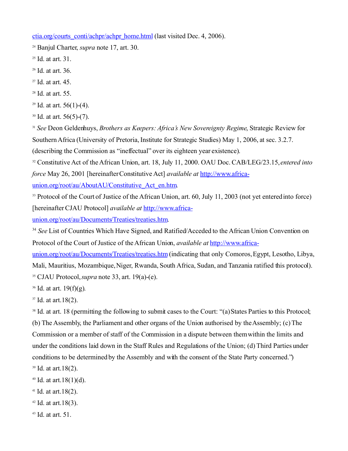[ctia.org/courts\\_conti/achpr/achpr\\_home.html](http://www.aict-ctia.org/courts_conti/achpr/achpr_home.html) (last visited Dec. 4, 2006).

<span id="page-38-0"></span><sup>24</sup> Banjul Charter, *supra* note 17, art. 30.

<span id="page-38-1"></span><sup>25</sup> Id. at art. 31.

<span id="page-38-2"></span><sup>26</sup> Id. at art. 36.

<span id="page-38-3"></span>27 Id. at art. 45.

<span id="page-38-4"></span><sup>28</sup> Id. at art. 55.

<span id="page-38-5"></span><sup>29</sup> Id. at art.  $56(1)-(4)$ .

<span id="page-38-6"></span> $30$  Id. at art. 56(5)-(7).

<span id="page-38-7"></span><sup>31</sup> *See* Deon Geldenhuys, *Brothers as Keepers: Africa's New Sovereignty Regime*, Strategic Review for Southern Africa (University of Pretoria, Institute for Strategic Studies) May 1, 2006, at sec. 3.2.7.

(describing the Commission as "ineffectual" over its eighteen year existence).

<span id="page-38-8"></span><sup>32</sup> Constitutive Act of the African Union, art. 18, July 11, 2000. OAU Doc. CAB/LEG/23.15, *entered into force* May 26, 2001 [hereinafter Constitutive Act] *available at* [http://www.africa-](http://www.africa-union.org/root/au/AboutAU/Constitutive_Act_en.htm)

union.org/root/au/AboutAU/Constitutive Act\_en.htm.

<span id="page-38-9"></span><sup>33</sup> Protocol of the Court of Justice of the African Union, art. 60, July 11, 2003 (not yet entered into force) [hereinafter CJAU Protocol] *available at* [http://www.africa-](http://www.africa-union.org/root/au/Documents/Treaties/treaties.htm)

[union.org/root/au/Documents/Treaties/treaties.htm.](http://www.africa-union.org/root/au/Documents/Treaties/treaties.htm)

<span id="page-38-10"></span>34 *See* List of Countries Which Have Signed, and Ratified/Acceded to the African Union Convention on Protocol of the Court of Justice of the African Union, *available at* [http://www.africa-](http://www.africa-union.org/root/au/Documents/Treaties/treaties.htm)

[union.org/root/au/Documents/Treaties/treaties.htm](http://www.africa-union.org/root/au/Documents/Treaties/treaties.htm) (indicating that only Comoros, Egypt, Lesotho, Libya, Mali, Mauritius, Mozambique, Niger, Rwanda, South Africa, Sudan, and Tanzania ratified this protocol). <sup>35</sup> CJAU Protocol, *supra* note 33, art. 19(a)-(e).

<span id="page-38-12"></span><span id="page-38-11"></span> $36$  Id. at art. 19(f)(g).

<span id="page-38-13"></span>37 Id. at art.18(2).

<span id="page-38-14"></span><sup>38</sup> Id. at art. 18 (permitting the following to submit cases to the Court: "(a) States Parties to this Protocol; (b) The Assembly, the Parliament and other organs of the Union authorised by the Assembly; (c)The Commission or a member of staff of the Commission in a dispute between them within the limits and under the conditions laid down in the Staff Rules and Regulations of the Union; (d) Third Parties under conditions to be determined by the Assembly and with the consent of the State Party concerned.") <sup>39</sup> Id. at art.18(2).

<span id="page-38-16"></span><span id="page-38-15"></span> $40$  Id. at art.  $18(1)(d)$ .

<span id="page-38-17"></span> $41$  Id. at art. 18(2).

<span id="page-38-18"></span> $42$  Id. at art. 18(3).

<span id="page-38-19"></span> $43$  Id. at art. 51.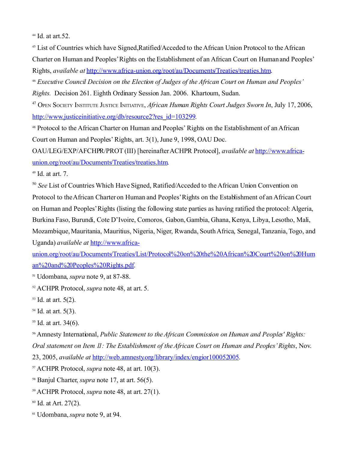<span id="page-39-0"></span> $44$  Id. at art. 52.

<span id="page-39-1"></span><sup>45</sup> List of Countries which have Signed, Ratified/Acceded to the African Union Protocol to the African Charter on Human and Peoples'Rights on the Establishment of an African Court on Human and Peoples' Rights, *available at* [http://www.africa-union.org/root/au/Documents/Treaties/treaties.htm.](http://www.africa-union.org/root/au/Documents/Treaties/treaties.htm)

<span id="page-39-2"></span><sup>46</sup> *Executive Council Decision on the Election of Judges of the African Court on Human and Peoples' Rights.* Decision 261. Eighth Ordinary Session Jan. 2006. Khartoum, Sudan.

<span id="page-39-3"></span><sup>47</sup> OPEN SOCIETY INSTITUTE JUSTICE INITIATIVE, *African Human Rights Court Judges Sworn In*, July 17, 2006, [http://www.justiceinitiative.org/db/resource2?res\\_id=103299.](http://www.justiceinitiative.org/db/resource2?res_id=103299)

<span id="page-39-4"></span><sup>48</sup> Protocol to the African Charter on Human and Peoples' Rights on the Establishment of an African Court on Human and Peoples' Rights, art. 3(1), June 9, 1998, OAU Doc.

OAU/LEG/EXP/AFCHPR/PROT (III) [hereinafter ACHPR Protocol], *available at* [http://www.africa](http://www.africa-union.org/root/au/Documents/Treaties/treaties.htm)[union.org/root/au/Documents/Treaties/treaties.htm.](http://www.africa-union.org/root/au/Documents/Treaties/treaties.htm)

<span id="page-39-5"></span> $49$  Id. at art. 7.

<span id="page-39-6"></span>50 *See* List of Countries Which Have Signed, Ratified/Acceded to the African Union Convention on Protocol to the African Charter on Human and Peoples'Rights on the Establishment of an African Court on Human and Peoples'Rights (listing the following state parties as having ratified the protocol: Algeria, Burkina Faso, Burundi, Cote D'Ivoire, Comoros, Gabon, Gambia, Ghana, Kenya, Libya, Lesotho, Mali, Mozambique, Mauritania, Mauritius, Nigeria, Niger, Rwanda, South Africa, Senegal, Tanzania, Togo, and Uganda) *available at* [http://www.africa-](http://www.africa-union.org/root/au/Documents/Treaties/List/Protocol on the African Court on Human and Peoples Rights.pdf)

[union.org/root/au/Documents/Treaties/List/Protocol%20on%20the%20African%20Court%20on%20Hum](http://www.africa-union.org/root/au/Documents/Treaties/List/Protocol on the African Court on Human and Peoples Rights.pdf) [an%20and%20Peoples%20Rights.pdf.](http://www.africa-union.org/root/au/Documents/Treaties/List/Protocol on the African Court on Human and Peoples Rights.pdf)

<span id="page-39-7"></span><sup>51</sup> Udombana, *supra* note 9, at 87-88.

<span id="page-39-8"></span><sup>52</sup> ACHPR Protocol, *supra* note 48, at art. 5.

<span id="page-39-9"></span> $53$  Id. at art.  $5(2)$ .

<span id="page-39-10"></span>54 Id. at art. 5(3).

<span id="page-39-11"></span> $55$  Id. at art. 34(6).

<span id="page-39-12"></span><sup>56</sup> Amnesty International, *Public Statement to the African Commission on Human and Peoples' Rights: Oral statement on Item 11: The Establishment of the African Court on Human and Peoples'Rights*, Nov.

23, 2005, *available at* [http://web.amnesty.org/library/index/engior100052005.](http://web.amnesty.org/library/index/engior100052005)

<span id="page-39-13"></span><sup>57</sup> ACHPR Protocol, *supra* note 48, at art. 10(3).

<span id="page-39-14"></span><sup>58</sup> Banjul Charter, *supra* note 17, at art. 56(5).

<span id="page-39-15"></span><sup>59</sup> ACHPR Protocol, *supra* note 48, at art. 27(1).

<span id="page-39-16"></span> $60$  Id. at Art. 27(2).

<span id="page-39-17"></span>61 Udombana,*supra* note 9, at 94.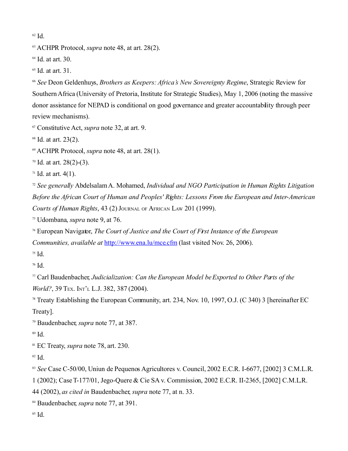<span id="page-40-0"></span> $62 \text{ Id}$ 

<span id="page-40-1"></span>ACHPR Protocol, *supra* note 48, at art. 28(2).

<span id="page-40-2"></span>Id. at art. 30.

<span id="page-40-3"></span>Id. at art. 31.

<span id="page-40-4"></span> *See* Deon Geldenhuys, *Brothers as Keepers: Africa's New Sovereignty Regime*, Strategic Review for Southern Africa (University of Pretoria, Institute for Strategic Studies), May 1, 2006 (noting the massive donor assistance for NEPAD is conditional on good governance and greater accountability through peer review mechanisms).

<span id="page-40-5"></span>Constitutive Act, *supra* note 32, at art. 9.

<span id="page-40-6"></span>Id. at art. 23(2).

<span id="page-40-7"></span>ACHPR Protocol, *supra* note 48, at art. 28(1).

<span id="page-40-8"></span>Id. at art. 28(2)-(3).

<span id="page-40-9"></span>Id. at art. 4(1).

<span id="page-40-10"></span> *See generally* Abdelsalam A. Mohamed, *Individual and NGO Participation in Human Rights Litigation Before the African Court of Human and Peoples' Rights: Lessons From the European and Inter-American Courts of Human Rights*, 43 (2) JOURNAL OF AFRICAN LAW 201 (1999).

<span id="page-40-11"></span>Udombana, *supra* note 9, at 76.

<span id="page-40-12"></span> European Navigator, *The Court of Justice and the Court of First Instance of the European Communities, available at* <http://www.ena.lu/mce.cfm>(last visited Nov. 26, 2006).

<span id="page-40-13"></span>Id.

<span id="page-40-14"></span>Id.

<span id="page-40-15"></span> Carl Baudenbacher, *Judicialization: Can the European Model be Exported to Other Parts of the World?*, 39 TEX. INT'L L.J. 382, 387 (2004).

<span id="page-40-16"></span> Treaty Establishing the European Community, art. 234, Nov. 10, 1997, O.J. (C 340) 3 [hereinafter EC Treaty].

<span id="page-40-17"></span>Baudenbacher, *supra* note 77, at 387.

<span id="page-40-18"></span>Id.

<span id="page-40-19"></span>EC Treaty, *supra* note 78, art. 230.

<span id="page-40-20"></span>Id.

<span id="page-40-21"></span><sup>83</sup> See Case C-50/00, Uniun de Pequenos Agricultores v. Council, 2002 E.C.R. I-6677, [2002] 3 C.M.L.R.

1 (2002); CaseT-177/01, Jego-Quere & Cie SA v. Commission, 2002 E.C.R. II-2365, [2002] C.M.L.R.

44 (2002), *as cited in* Baudenbacher, *supra* note 77, at n. 33.

<span id="page-40-22"></span>Baudenbacher, *supra* note 77, at 391.

<span id="page-40-23"></span>Id.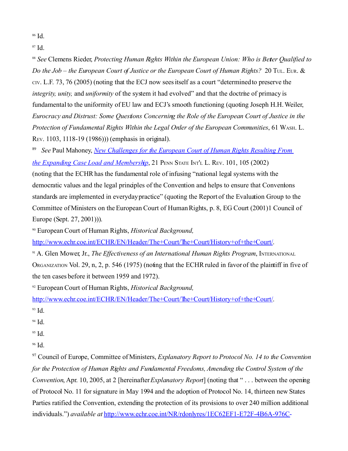<span id="page-41-0"></span><sup>86</sup> Id.

<span id="page-41-1"></span>87 Id.

<span id="page-41-2"></span><sup>88</sup> See Clemens Rieder, *Protecting Human Rights Within the European Union: Who is Beter Qualified to Do the Job – the European Court of Justice or the European Court of Human Rights?* 20 TUL. EUR. & CIV. L.F. 73, 76 (2005) (noting that the ECJ now sees itself as a court "determined to preserve the *integrity, unity, and <i>uniformity* of the system it had evolved" and that the doctrine of primacy is fundamental to the uniformity of EU law and ECJ's smooth functioning (quoting Joseph H.H.Weiler, *Eurocracy and Distrust: Some Questions Concerning the Role of the European Court of Justice in the Protection of Fundamental Rights Within the Legal Order of the European Communities*, 61 WASH. L. REV. 1103, 1118-19 (1986))) (emphasis in original).

<span id="page-41-3"></span>89 *See* Paul Mahoney, *[New Challenges for the European Court of Human Rights Resulting From](http://heinonline.org.proxy.wcl.american.edu:2048/HOL/Page?handle=hein.journals/psilr21&id=109&collection=journals)  [the Expanding Case Load and Membership](http://heinonline.org.proxy.wcl.american.edu:2048/HOL/Page?handle=hein.journals/psilr21&id=109&collection=journals)*, 21 PENN STATE INT'L L. REV. 101, 105 (2002) (noting that the ECHR has the fundamental role of infusing "national legal systems with the democratic values and the legal principles of the Convention and helps to ensure that Conventions standards are implemented in everyday practice" (quoting the Report of the Evaluation Group to the Committee of Ministers on the European Court of Human Rights, p. 8, EG Court (2001)1 Council of Europe (Sept. 27, 2001))).

<span id="page-41-4"></span><sup>90</sup> European Court of Human Rights, *Historical Background,*

[http://www.echr.coe.int/ECHR/EN/Header/The+Court/The+Court/History+of+the+Court/.](http://www.echr.coe.int/ECHR/EN/Header/The+Court/The+Court/History+of+the+Court/)

<span id="page-41-5"></span><sup>91</sup> A. Glen Mower, Jr., *The Effectiveness of an International Human Rights Program*, INTERNATIONAL ORGANIZATION Vol. 29, n, 2, p. 546 (1975) (noting that the ECHR ruled in favor of the plaintiff in five of the ten cases before it between 1959 and 1972).

<span id="page-41-6"></span><sup>92</sup> European Court of Human Rights, *Historical Background,*

[http://www.echr.coe.int/ECHR/EN/Header/The+Court/The+Court/History+of+the+Court/.](http://www.echr.coe.int/ECHR/EN/Header/The+Court/The+Court/History+of+the+Court/) <sup>93</sup> Id.

<span id="page-41-8"></span><span id="page-41-7"></span>94 Id.

<span id="page-41-9"></span> $95$  Id.

<span id="page-41-10"></span><sup>96</sup> Id.

<span id="page-41-11"></span><sup>97</sup> Council of Europe, Committee of Ministers, *Explanatory Report to Protocol No. 14 to the Convention for the Protection of Human Rights and Fundamental Freedoms, Amending the Control System of the Convention*, Apr. 10, 2005, at 2 [hereinafter*Explanatory Report*] (noting that " . . . between the opening of Protocol No. 11 for signature in May 1994 and the adoption of Protocol No. 14, thirteen new States Parties ratified the Convention, extending the protection of its provisions to over 240 million additional individuals.") *available at* [http://www.echr.coe.int/NR/rdonlyres/1EC62EF1-E72F-4B6A-976C-](http://www.echr.coe.int/NR/rdonlyres/1EC62EF1-E72F-4B6A-976C-7CBB22CFCAC8/0/Protocol14Explanatory.pdf)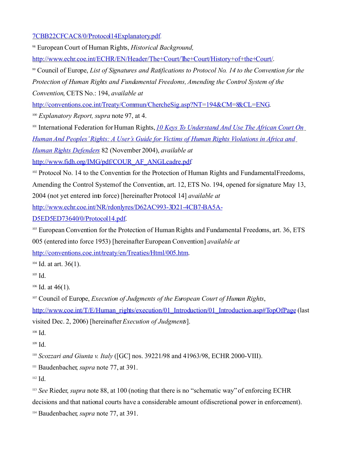[7CBB22CFCAC8/0/Protocol14Explanatory.pdf.](http://www.echr.coe.int/NR/rdonlyres/1EC62EF1-E72F-4B6A-976C-7CBB22CFCAC8/0/Protocol14Explanatory.pdf)

<span id="page-42-0"></span><sup>98</sup> European Court of Human Rights, *Historical Background,*

[http://www.echr.coe.int/ECHR/EN/Header/The+Court/The+Court/History+of+the+Court/.](http://www.echr.coe.int/ECHR/EN/Header/The+Court/The+Court/History+of+the+Court/)

<span id="page-42-1"></span><sup>99</sup> Council of Europe, *List of Signatures and Ratifications to Protocol No. 14 to the Convention for the Protection of Human Rights and Fundamental Freedoms, Amending the Control System of the Convention*, CETS No.: 194, *available at*

[http://conventions.coe.int/Treaty/Commun/ChercheSig.asp?NT=194&CM=8&CL=ENG.](http://conventions.coe.int/Treaty/Commun/ChercheSig.asp?NT=194&CM=8&CL=ENG)

<span id="page-42-2"></span><sup>100</sup> *Explanatory Report, supra* note 97, at 4.

<span id="page-42-3"></span><sup>101</sup> International Federation for Human Rights, *[10 Keys To Understand And Use The African Court On](http://www.fidh.org/IMG/pdf/COUR_AF_ANGLcadre.pdf) [Human And Peoples' Rights: A User's Guide for Victims of Human Rights Violations in Africa and](http://www.fidh.org/IMG/pdf/COUR_AF_ANGLcadre.pdf)*

*[Human Rights Defenders](http://www.fidh.org/IMG/pdf/COUR_AF_ANGLcadre.pdf)* 82 (November 2004), *available at*

[http://www.fidh.org/IMG/pdf/COUR\\_AF\\_ANGLcadre.pdf.](http://www.fidh.org/IMG/pdf/COUR_AF_ANGLcadre.pdf)

<span id="page-42-4"></span><sup>102</sup> Protocol No. 14 to the Convention for the Protection of Human Rights and Fundamental Freedoms, Amending the Control System of the Convention, art. 12, ETS No. 194, opened for signature May 13, 2004 (not yet entered into force) [hereinafter Protocol 14] *available at*

[http://www.echr.coe.int/NR/rdonlyres/D62AC993-3D21-4CB7-BA5A-](http://www.echr.coe.int/NR/rdonlyres/D62AC993-3D21-4CB7-BA5A-D5ED5ED73640/0/Protocol14.pdf)

[D5ED5ED73640/0/Protocol14.pdf.](http://www.echr.coe.int/NR/rdonlyres/D62AC993-3D21-4CB7-BA5A-D5ED5ED73640/0/Protocol14.pdf)

<span id="page-42-5"></span><sup>103</sup> European Convention for the Protection of Human Rights and Fundamental Freedoms, art. 36, ETS 005 (entered into force 1953) [hereinafter European Convention] *available at*

[http://conventions.coe.int/treaty/en/Treaties/Html/005.htm.](http://conventions.coe.int/treaty/en/Treaties/Html/005.htm)

<span id="page-42-6"></span> $104$  Id. at art. 36(1).

<span id="page-42-7"></span>105 Id.

<span id="page-42-8"></span> $106$  Id. at 46(1).

<span id="page-42-9"></span><sup>107</sup> Council of Europe, *Execution of Judgments of the European Court of Human Rights*,

[http://www.coe.int/T/E/Human\\_rights/execution/01\\_Introduction/01\\_Introduction.asp#TopOfPage](http://www.coe.int/T/E/Human_rights/execution/01_Introduction/01_Introduction.asp#TopOfPage) (last visited Dec. 2, 2006) [hereinafter *Execution of Judgments*].

<span id="page-42-10"></span>108 Id.

<span id="page-42-11"></span>109 Id.

<span id="page-42-12"></span><sup>110</sup> *Scozzari and Giunta v. Italy* ([GC] nos. 39221/98 and 41963/98, ECHR 2000-VIII).

<span id="page-42-13"></span><sup>111</sup> Baudenbacher, *supra* note 77, at 391.

<span id="page-42-14"></span>112 Id.

<span id="page-42-15"></span><sup>113</sup> *See* Rieder, *supra* note 88, at 100 (noting that there is no "schematic way" of enforcing ECHR decisions and that national courts have a considerable amount of discretional power in enforcement).

<span id="page-42-16"></span><sup>114</sup> Baudenbacher, *supra* note 77, at 391.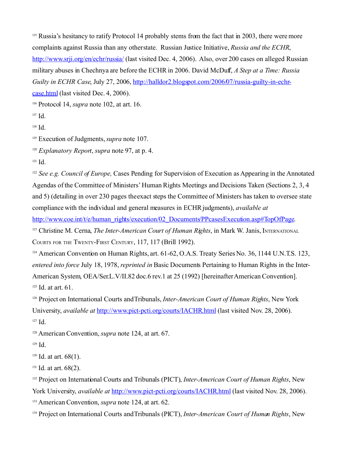<span id="page-43-0"></span><sup>115</sup> Russia's hesitancy to ratify Protocol 14 probably stems from the fact that in 2003, there were more complaints against Russia than any other state. Russian Justice Initiative, *Russia and the ECHR*, <http://www.srji.org/en/echr/russia/> (last visited Dec. 4, 2006). Also, over 200 cases on alleged Russian military abuses in Chechnya are before the ECHR in 2006. David McDuff, *A Step at a Time: Russia Guilty in ECHR Case*, July 27, 2006, [http://halldor2.blogspot.com/2006/07/russia-guilty-in-echr](http://halldor2.blogspot.com/2006/07/russia-guilty-in-echr-case.html)[case.html](http://halldor2.blogspot.com/2006/07/russia-guilty-in-echr-case.html) (last visited Dec. 4, 2006).

<span id="page-43-1"></span><sup>116</sup> Protocol 14, *supra* note 102, at art. 16.

<span id="page-43-3"></span>118 Id.

<span id="page-43-4"></span>119 Execution of Judgments, *supra* note 107.

<span id="page-43-5"></span><sup>120</sup> *Explanatory Report*, *supra* note 97, at p. 4.

<span id="page-43-6"></span>121 Id.

<span id="page-43-7"></span><sup>122</sup> *See e.g. Council of Europe, Cases Pending for Supervision of Execution as Appearing in the Annotated* Agendas of the Committee of Ministers' Human Rights Meetings and Decisions Taken (Sections 2, 3, 4 and 5) (detailing in over 230 pages the exact steps the Committee of Ministers has taken to oversee state compliance with the individual and general measures in ECHR judgments), *available at*

[http://www.coe.int/t/e/human\\_rights/execution/02\\_Documents/PPcasesExecution.asp#TopOfPage.](http://www.coe.int/t/e/human_rights/execution/02_Documents/PPcasesExecution.asp#TopOfPage)

<span id="page-43-8"></span>123 Christine M. Cerna, *The Inter-American Court of Human Rights*, in Mark W. Janis, INTERNATIONAL

COURTS FOR THE TWENTY-FIRST CENTURY, 117, 117 (Brill 1992).

<span id="page-43-9"></span><sup>124</sup> American Convention on Human Rights, art. 61-62, O.A.S. Treaty Series No. 36, 1144 U.N.T.S. 123, *entered into force* July 18, 1978, *reprinted in* Basic Documents Pertaining to Human Rights in the Inter-American System, OEA/Ser.L.V/II.82 doc.6 rev.1 at 25 (1992) [hereinafter American Convention]. 125 Id. at art. 61.

<span id="page-43-11"></span><span id="page-43-10"></span>126 Project on International Courts and Tribunals, *Inter-American Court of Human Rights*, New York University, *available at* <http://www.pict-pcti.org/courts/IACHR.html>(last visited Nov. 28, 2006). 127 Id.

<span id="page-43-13"></span><span id="page-43-12"></span><sup>128</sup> American Convention, *supra* note 124, at art. 67.

<span id="page-43-14"></span>129 Id.

<span id="page-43-15"></span><sup>130</sup> Id. at art. 68(1).

<span id="page-43-16"></span><sup>131</sup> Id. at art. 68(2).

<span id="page-43-17"></span><sup>132</sup> Project on International Courts and Tribunals (PICT), *Inter-American Court of Human Rights*, New York University, *available at* <http://www.pict-pcti.org/courts/IACHR.html>(last visited Nov. 28, 2006). <sup>133</sup> American Convention, *supra* note 124, at art. 62.

<span id="page-43-19"></span><span id="page-43-18"></span>134 Project on International Courts and Tribunals (PICT), *Inter-American Court of Human Rights*, New

<span id="page-43-2"></span><sup>117</sup> Id.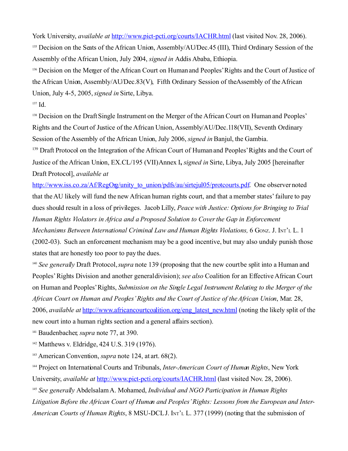York University, *available at* <http://www.pict-pcti.org/courts/IACHR.html>(last visited Nov. 28, 2006).

<span id="page-44-0"></span><sup>135</sup> Decision on the Seats of the African Union, Assembly/AU/Dec.45 (III), Third Ordinary Session of the Assembly of the African Union, July 2004, *signed in* Addis Ababa, Ethiopia.

<span id="page-44-1"></span><sup>136</sup> Decision on the Merger of the African Court on Human and Peoples' Rights and the Court of Justice of the African Union, Assembly/AU/Dec.83(V), Fifth Ordinary Session of the Assembly of the African Union, July 4-5, 2005, *signed in* Sirte, Libya.

<span id="page-44-2"></span>137 Id.

<span id="page-44-3"></span><sup>138</sup> Decision on the Draft Single Instrument on the Merger of the African Court on Human and Peoples' Rights and the Court of Justice of the African Union, Assembly/AU/Dec.118(VII), Seventh Ordinary Session of the Assembly of the African Union, July 2006, *signed in* Banjul, the Gambia.

<span id="page-44-4"></span><sup>139</sup> Draft Protocol on the Integration of the African Court of Human and Peoples' Rights and the Court of Justice of the African Union, EX.CL/195 (VII)Annex I**,** *signed in* Sirte, Libya, July 2005 [hereinafter Draft Protocol], *available at*

[http://www.iss.co.za/Af/RegOrg/unity\\_to\\_union/pdfs/au/sirtejul05/protcourts.pdf.](http://www.iss.co.za/Af/RegOrg/unity_to_union/pdfs/au/sirtejul05/protcourts.pdf) One observer noted that the AU likely will fund the new African human rights court, and that a member states' failure to pay dues should result in a loss of privileges. Jacob Lilly, *Peace with Justice: Options for Bringing to Trial Human Rights Violators in Africa and a Proposed Solution to Cover the Gap in Enforcement Mechanisms Between International Criminal Law and Human Rights Violations, 6 GONZ. J. INT'L L. 1* (2002-03). Such an enforcement mechanism may be a good incentive, but may also unduly punish those states that are honestly too poor to pay the dues.

<span id="page-44-5"></span><sup>140</sup> *See generally* Draft Protocol, *supra* note 139 (proposing that the new court be split into a Human and Peoples'Rights Division and another general division); *see also* Coalition for an Effective African Court on Human and Peoples'Rights, *Submission on the Single Legal Instrument Relating to the Merger of the African Court on Human and Peoples'Rights and the Court of Justice of the African Union*, Mar. 28, 2006, *available at* [http://www.africancourtcoalition.org/eng\\_latest\\_new.html](http://www.africancourtcoalition.org/eng_latest_new.html) (noting the likely split of the new court into a human rights section and a general affairs section).

<span id="page-44-6"></span><sup>141</sup> Baudenbacher, *supra* note 77, at 390.

<span id="page-44-7"></span>142 Matthews v. Eldridge, 424 U.S. 319 (1976).

<span id="page-44-8"></span><sup>143</sup> American Convention, *supra* note 124, at art. 68(2).

<span id="page-44-9"></span><sup>144</sup> Project on International Courts and Tribunals, *Inter-American Court of Human Rights*, New York University, *available at* <http://www.pict-pcti.org/courts/IACHR.html>(last visited Nov. 28, 2006). <sup>145</sup> *See generally* Abdelsalam A. Mohamed, *Individual and NGO Participation in Human Rights*

<span id="page-44-10"></span>*Litigation Before the African Court of Human and Peoples' Rights: Lessons from the European and Inter-American Courts of Human Rights*, 8 MSU-DCL J. INT'<sup>L</sup> L. 377 (1999) (noting that the submission of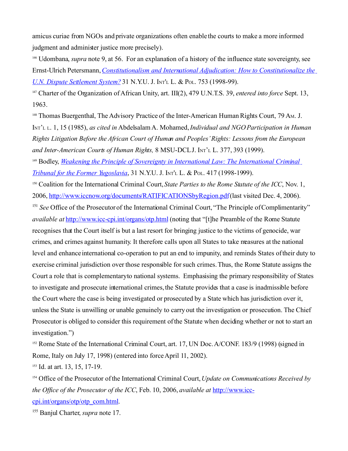amicus curiae from NGOs and private organizations often enable the courts to make a more informed judgment and administer justice more precisely).

<span id="page-45-0"></span><sup>146</sup> Udombana, *supra* note 9, at 56. For an explanation of a history of the influence state sovereignty, see Ernst-Ulrich Petersmann,*[Constitutionalism and International Adjudication: How to Constitutionalize the](http://heinonline.org.proxy.wcl.american.edu:2048/HOL/Page?handle=hein.journals/nyuilp31&id=761&collection=journals) [U.N. Dispute Settlement System?](http://heinonline.org.proxy.wcl.american.edu:2048/HOL/Page?handle=hein.journals/nyuilp31&id=761&collection=journals)* 31 N.Y.U. J. INT'<sup>L</sup> L. & POL. 753 (1998-99).

<span id="page-45-1"></span><sup>147</sup> Charter of the Organization of African Unity, art. III(2), 479 U.N.T.S. 39, *entered into force* Sept. 13, 1963.

<span id="page-45-2"></span><sup>148</sup> Thomas Buergenthal, The Advisory Practice of the Inter-American Human Rights Court, 79 Am. J. INT'<sup>L</sup> <sup>L</sup>. 1, 15 (1985), *as cited in* AbdelsalamA. Mohamed,*Individual and NGO Participation in Human Rights Litigation Before the African Court of Human and Peoples' Rights: Lessons from the European and Inter-American Courts of Human Rights,* 8 MSU-DCL J. INT'<sup>L</sup> L. 377, 393 (1999).

<span id="page-45-3"></span><sup>149</sup> Bodley, *[Weakening the Principle of Sovereignty in International Law: The International Criminal](http://proxy.wcl.american.edu:2048/login?url=http://heinonline.org/HOL/Page?handle=hein.journals/nyuilp31&id=425&collection=journals) [Tribunal for the Former Yugoslavia](http://proxy.wcl.american.edu:2048/login?url=http://heinonline.org/HOL/Page?handle=hein.journals/nyuilp31&id=425&collection=journals)*, 31 N.Y.U. J. INT'<sup>L</sup> L. & POL. 417 (1998-1999).

<span id="page-45-4"></span><sup>150</sup> Coalition for the International Criminal Court,*State Parties to the Rome Statute of the ICC*, Nov. 1, 2006,<http://www.iccnow.org/documents/RATIFICATIONSbyRegion.pdf>(last visited Dec. 4, 2006).

<span id="page-45-5"></span><sup>151</sup> See Office of the Prosecutor of the International Criminal Court, "The Principle of Complimentarity" *available at* <http://www.icc-cpi.int/organs/otp.html> (noting that "[t]he Preamble of the Rome Statute recognises that the Court itself is but a last resort for bringing justice to the victims of genocide, war crimes, and crimes against humanity. It therefore calls upon all States to take measures at the national level and enhance international co-operation to put an end to impunity, and reminds States of their duty to exercise criminal jurisdiction over those responsible for such crimes.Thus, the Rome Statute assigns the Court a role that is complementary to national systems. Emphasising the primary responsibility of States to investigate and prosecute international crimes, the Statute provides that a case is inadmissible before the Court where the case is being investigated or prosecuted by a State which has jurisdiction over it, unless the State is unwilling or unable genuinely to carry out the investigation or prosecution. The Chief Prosecutor is obliged to consider this requirement of the Statute when deciding whether or not to start an investigation.")

<span id="page-45-6"></span><sup>152</sup> Rome State of the International Criminal Court, art. 17, UN Doc. A/CONF. 183/9 (1998) (signed in Rome, Italy on July 17, 1998) (entered into force April 11, 2002).

<span id="page-45-7"></span><sup>153</sup> Id. at art. 13, 15, 17-19.

<span id="page-45-8"></span><sup>154</sup> Office of the Prosecutor of the International Criminal Court,*Update on Communications Received by the Office of the Prosecutor of the ICC*, Feb. 10, 2006, *available at* [http://www.icc](http://www.icc-cpi.int/organs/otp/otp_com.html)[cpi.int/organs/otp/otp\\_com.html.](http://www.icc-cpi.int/organs/otp/otp_com.html)

<span id="page-45-9"></span><sup>155</sup> Banjul Charter, *supra* note 17.